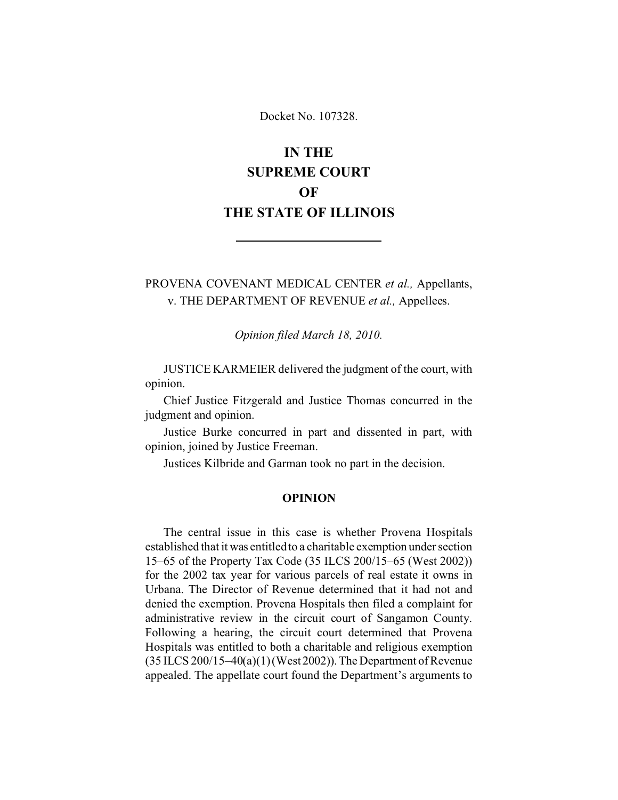Docket No. 107328.

# **IN THE SUPREME COURT OF THE STATE OF ILLINOIS**

PROVENA COVENANT MEDICAL CENTER *et al.,* Appellants, v. THE DEPARTMENT OF REVENUE *et al.,* Appellees.

*Opinion filed March 18, 2010.*

JUSTICE KARMEIER delivered the judgment of the court, with opinion.

Chief Justice Fitzgerald and Justice Thomas concurred in the judgment and opinion.

Justice Burke concurred in part and dissented in part, with opinion, joined by Justice Freeman.

Justices Kilbride and Garman took no part in the decision.

#### **OPINION**

The central issue in this case is whether Provena Hospitals established that it was entitled to a charitable exemption under section 15–65 of the Property Tax Code (35 ILCS 200/15–65 (West 2002)) for the 2002 tax year for various parcels of real estate it owns in Urbana. The Director of Revenue determined that it had not and denied the exemption. Provena Hospitals then filed a complaint for administrative review in the circuit court of Sangamon County. Following a hearing, the circuit court determined that Provena Hospitals was entitled to both a charitable and religious exemption (35 ILCS 200/15–40(a)(1) (West 2002)).The Department of Revenue appealed. The appellate court found the Department's arguments to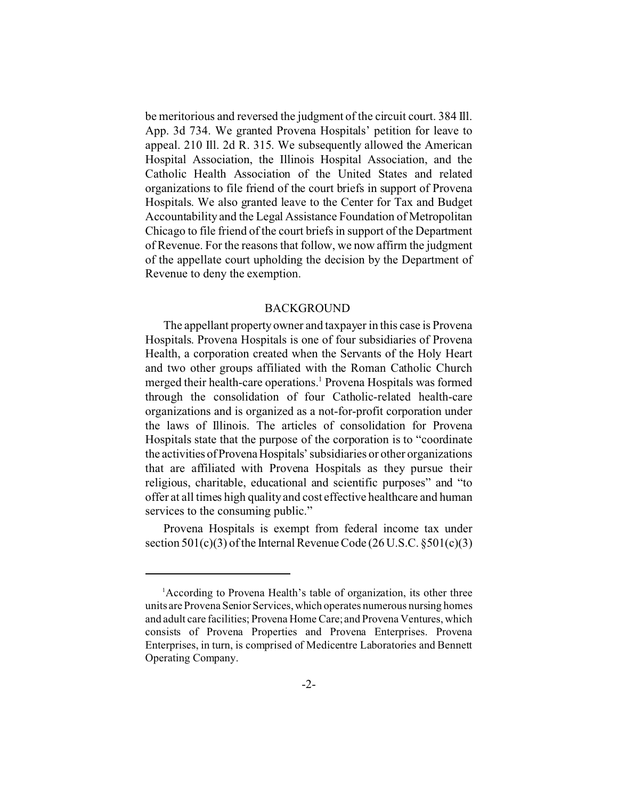be meritorious and reversed the judgment of the circuit court. 384 Ill. App. 3d 734. We granted Provena Hospitals' petition for leave to appeal. 210 Ill. 2d R. 315. We subsequently allowed the American Hospital Association, the Illinois Hospital Association, and the Catholic Health Association of the United States and related organizations to file friend of the court briefs in support of Provena Hospitals. We also granted leave to the Center for Tax and Budget Accountability and the Legal Assistance Foundation of Metropolitan Chicago to file friend of the court briefs in support of the Department of Revenue. For the reasons that follow, we now affirm the judgment of the appellate court upholding the decision by the Department of Revenue to deny the exemption.

## BACKGROUND

The appellant property owner and taxpayer in this case is Provena Hospitals. Provena Hospitals is one of four subsidiaries of Provena Health, a corporation created when the Servants of the Holy Heart and two other groups affiliated with the Roman Catholic Church merged their health-care operations.<sup>1</sup> Provena Hospitals was formed through the consolidation of four Catholic-related health-care organizations and is organized as a not-for-profit corporation under the laws of Illinois. The articles of consolidation for Provena Hospitals state that the purpose of the corporation is to "coordinate the activities of Provena Hospitals' subsidiaries or other organizations that are affiliated with Provena Hospitals as they pursue their religious, charitable, educational and scientific purposes" and "to offer at all times high quality and cost effective healthcare and human services to the consuming public."

Provena Hospitals is exempt from federal income tax under section  $501(c)(3)$  of the Internal Revenue Code (26 U.S.C.  $\S501(c)(3)$ )

<sup>&</sup>lt;sup>1</sup>According to Provena Health's table of organization, its other three units are Provena Senior Services, which operates numerous nursing homes and adult care facilities; Provena Home Care; and Provena Ventures, which consists of Provena Properties and Provena Enterprises. Provena Enterprises, in turn, is comprised of Medicentre Laboratories and Bennett Operating Company.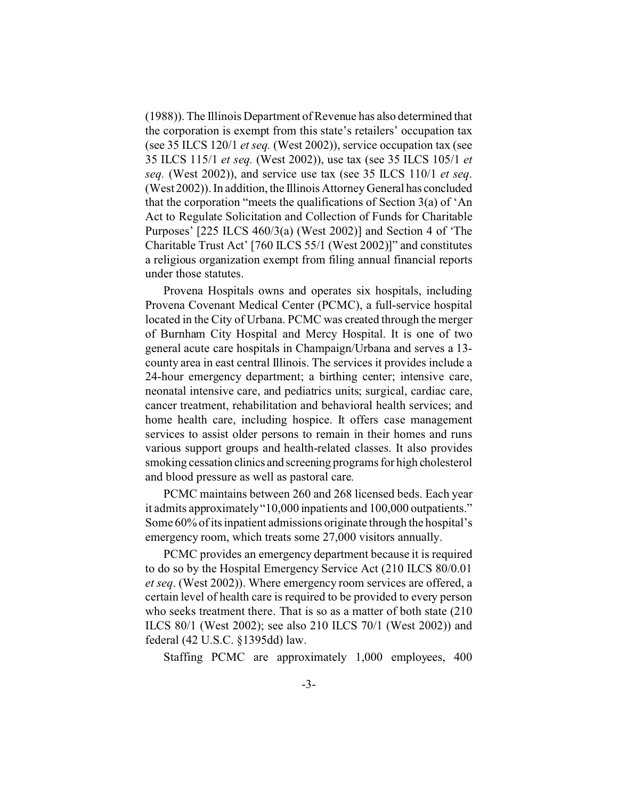(1988)). The Illinois Department of Revenue has also determined that the corporation is exempt from this state's retailers' occupation tax (see 35 ILCS 120/1 *et seq.* (West 2002)), service occupation tax (see 35 ILCS 115/1 *et seq.* (West 2002)), use tax (see 35 ILCS 105/1 *et seq.* (West 2002)), and service use tax (see 35 ILCS 110/1 *et seq*. (West 2002)). In addition, the Illinois Attorney General has concluded that the corporation "meets the qualifications of Section 3(a) of 'An Act to Regulate Solicitation and Collection of Funds for Charitable Purposes' [225 ILCS 460/3(a) (West 2002)] and Section 4 of 'The Charitable Trust Act' [760 ILCS 55/1 (West 2002)]" and constitutes a religious organization exempt from filing annual financial reports under those statutes.

Provena Hospitals owns and operates six hospitals, including Provena Covenant Medical Center (PCMC), a full-service hospital located in the City of Urbana. PCMC was created through the merger of Burnham City Hospital and Mercy Hospital. It is one of two general acute care hospitals in Champaign/Urbana and serves a 13 county area in east central Illinois. The services it provides include a 24-hour emergency department; a birthing center; intensive care, neonatal intensive care, and pediatrics units; surgical, cardiac care, cancer treatment, rehabilitation and behavioral health services; and home health care, including hospice. It offers case management services to assist older persons to remain in their homes and runs various support groups and health-related classes. It also provides smoking cessation clinics and screening programs for high cholesterol and blood pressure as well as pastoral care.

PCMC maintains between 260 and 268 licensed beds. Each year it admits approximately "10,000 inpatients and 100,000 outpatients." Some 60% of its inpatient admissions originate through the hospital's emergency room, which treats some 27,000 visitors annually.

PCMC provides an emergency department because it is required to do so by the Hospital Emergency Service Act (210 ILCS 80/0.01 *et seq*. (West 2002)). Where emergency room services are offered, a certain level of health care is required to be provided to every person who seeks treatment there. That is so as a matter of both state (210 ILCS 80/1 (West 2002); see also 210 ILCS 70/1 (West 2002)) and federal (42 U.S.C. §1395dd) law.

Staffing PCMC are approximately 1,000 employees, 400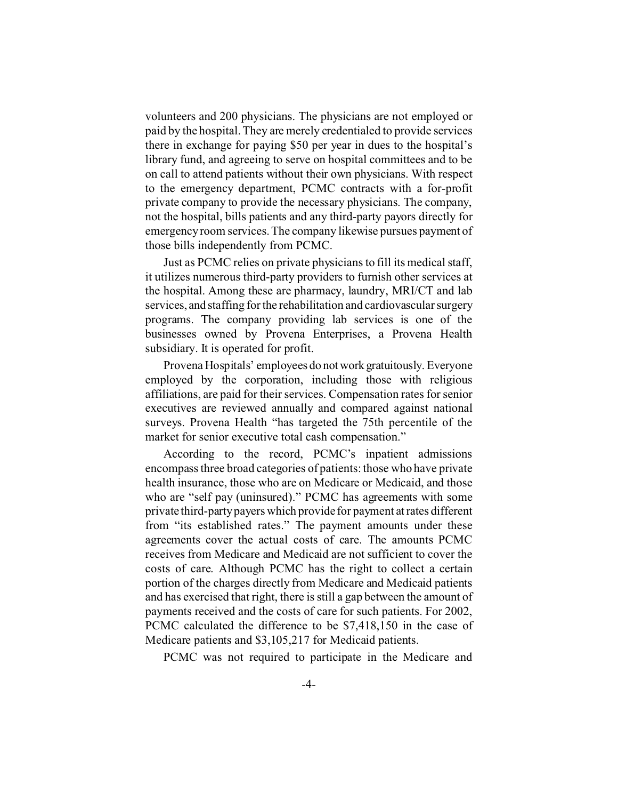volunteers and 200 physicians. The physicians are not employed or paid by the hospital. They are merely credentialed to provide services there in exchange for paying \$50 per year in dues to the hospital's library fund, and agreeing to serve on hospital committees and to be on call to attend patients without their own physicians. With respect to the emergency department, PCMC contracts with a for-profit private company to provide the necessary physicians. The company, not the hospital, bills patients and any third-party payors directly for emergency room services. The company likewise pursues payment of those bills independently from PCMC.

Just as PCMC relies on private physicians to fill its medical staff, it utilizes numerous third-party providers to furnish other services at the hospital. Among these are pharmacy, laundry, MRI/CT and lab services, and staffing for the rehabilitation and cardiovascular surgery programs. The company providing lab services is one of the businesses owned by Provena Enterprises, a Provena Health subsidiary. It is operated for profit.

Provena Hospitals' employees do notwork gratuitously. Everyone employed by the corporation, including those with religious affiliations, are paid for their services. Compensation rates for senior executives are reviewed annually and compared against national surveys. Provena Health "has targeted the 75th percentile of the market for senior executive total cash compensation."

According to the record, PCMC's inpatient admissions encompass three broad categories of patients: those who have private health insurance, those who are on Medicare or Medicaid, and those who are "self pay (uninsured)." PCMC has agreements with some private third-party payers which provide for payment atrates different from "its established rates." The payment amounts under these agreements cover the actual costs of care. The amounts PCMC receives from Medicare and Medicaid are not sufficient to cover the costs of care. Although PCMC has the right to collect a certain portion of the charges directly from Medicare and Medicaid patients and has exercised that right, there is still a gap between the amount of payments received and the costs of care for such patients. For 2002, PCMC calculated the difference to be \$7,418,150 in the case of Medicare patients and \$3,105,217 for Medicaid patients.

PCMC was not required to participate in the Medicare and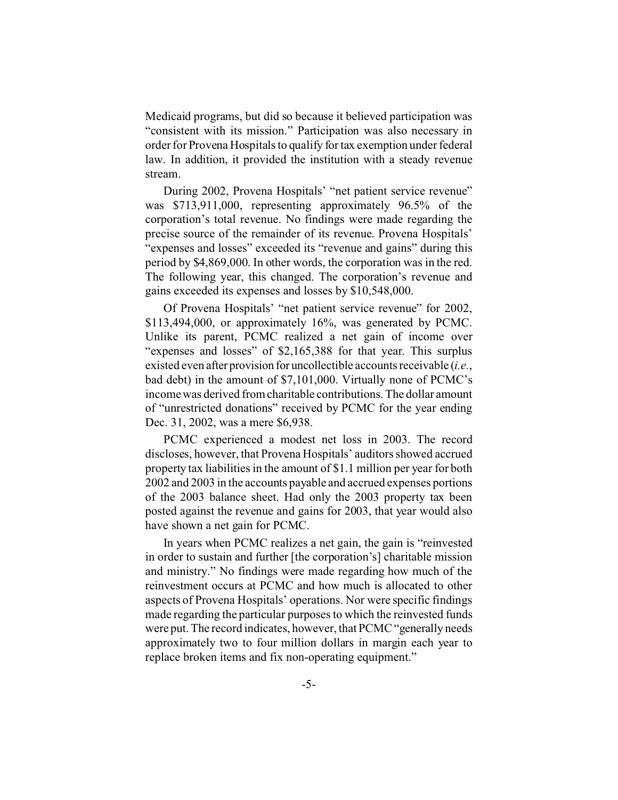Medicaid programs, but did so because it believed participation was "consistent with its mission." Participation was also necessary in order for Provena Hospitals to qualify for tax exemption under federal law. In addition, it provided the institution with a steady revenue stream.

During 2002, Provena Hospitals' "net patient service revenue" was \$713,911,000, representing approximately 96.5% of the corporation's total revenue. No findings were made regarding the precise source of the remainder of its revenue. Provena Hospitals' "expenses and losses" exceeded its "revenue and gains" during this period by \$4,869,000. In other words, the corporation was in the red. The following year, this changed. The corporation's revenue and gains exceeded its expenses and losses by \$10,548,000.

Of Provena Hospitals' "net patient service revenue" for 2002, \$113,494,000, or approximately 16%, was generated by PCMC. Unlike its parent, PCMC realized a net gain of income over "expenses and losses" of \$2,165,388 for that year. This surplus existed even after provision for uncollectible accounts receivable (*i.e.*, bad debt) in the amount of \$7,101,000. Virtually none of PCMC's income was derived from charitable contributions. The dollar amount of "unrestricted donations" received by PCMC for the year ending Dec. 31, 2002, was a mere \$6,938.

PCMC experienced a modest net loss in 2003. The record discloses, however, that Provena Hospitals' auditors showed accrued property tax liabilities in the amount of \$1.1 million per year for both 2002 and 2003 in the accounts payable and accrued expenses portions of the 2003 balance sheet. Had only the 2003 property tax been posted against the revenue and gains for 2003, that year would also have shown a net gain for PCMC.

In years when PCMC realizes a net gain, the gain is "reinvested in order to sustain and further [the corporation's] charitable mission and ministry." No findings were made regarding how much of the reinvestment occurs at PCMC and how much is allocated to other aspects of Provena Hospitals' operations. Nor were specific findings made regarding the particular purposes to which the reinvested funds were put. The record indicates, however, that PCMC "generally needs approximately two to four million dollars in margin each year to replace broken items and fix non-operating equipment."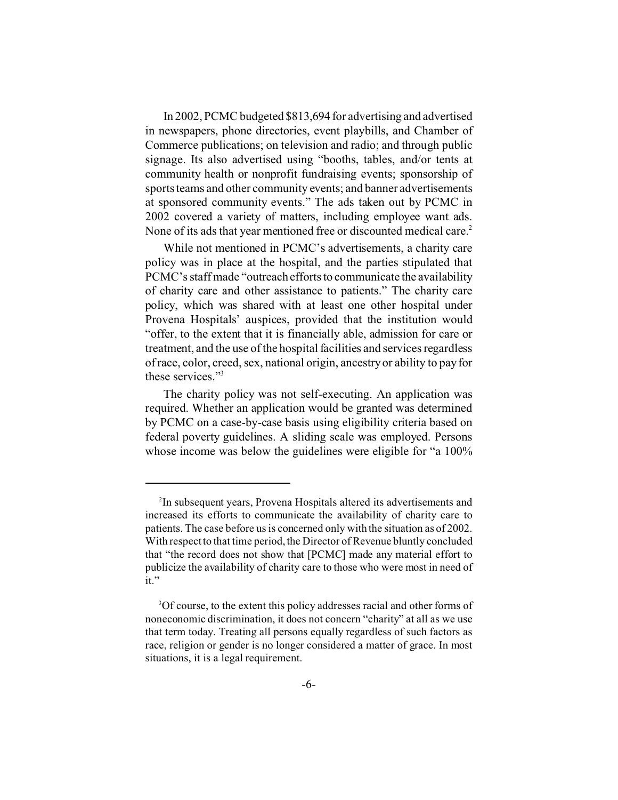In 2002, PCMC budgeted \$813,694 for advertising and advertised in newspapers, phone directories, event playbills, and Chamber of Commerce publications; on television and radio; and through public signage. Its also advertised using "booths, tables, and/or tents at community health or nonprofit fundraising events; sponsorship of sports teams and other community events; and banner advertisements at sponsored community events." The ads taken out by PCMC in 2002 covered a variety of matters, including employee want ads. None of its ads that year mentioned free or discounted medical care.<sup>2</sup>

While not mentioned in PCMC's advertisements, a charity care policy was in place at the hospital, and the parties stipulated that PCMC's staff made "outreach efforts to communicate the availability of charity care and other assistance to patients." The charity care policy, which was shared with at least one other hospital under Provena Hospitals' auspices, provided that the institution would "offer, to the extent that it is financially able, admission for care or treatment, and the use of the hospital facilities and services regardless of race, color, creed, sex, national origin, ancestry or ability to pay for these services."<sup>3</sup>

The charity policy was not self-executing. An application was required. Whether an application would be granted was determined by PCMC on a case-by-case basis using eligibility criteria based on federal poverty guidelines. A sliding scale was employed. Persons whose income was below the guidelines were eligible for "a  $100\%$ 

<sup>&</sup>lt;sup>2</sup>In subsequent years, Provena Hospitals altered its advertisements and increased its efforts to communicate the availability of charity care to patients. The case before us is concerned only with the situation as of 2002. With respect to that time period, the Director of Revenue bluntly concluded that "the record does not show that [PCMC] made any material effort to publicize the availability of charity care to those who were most in need of it."

<sup>&</sup>lt;sup>3</sup>Of course, to the extent this policy addresses racial and other forms of noneconomic discrimination, it does not concern "charity" at all as we use that term today. Treating all persons equally regardless of such factors as race, religion or gender is no longer considered a matter of grace. In most situations, it is a legal requirement.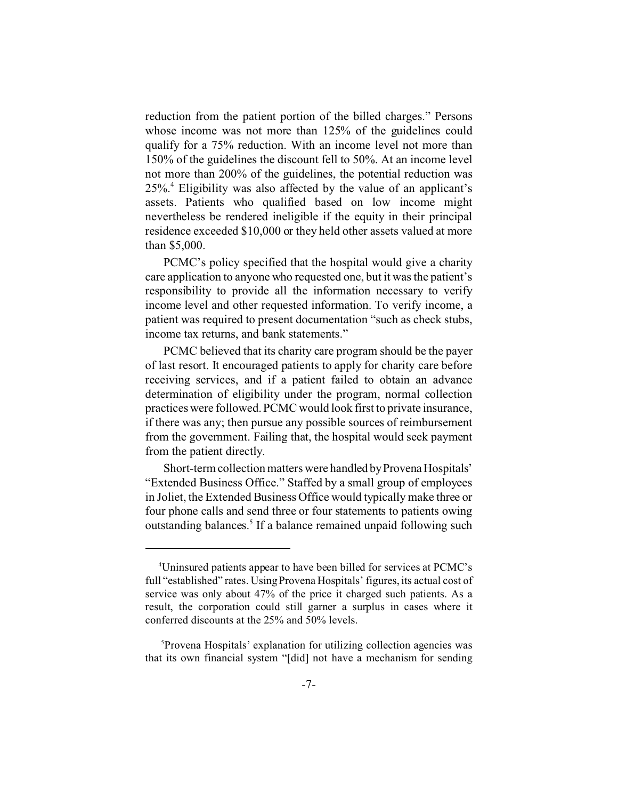reduction from the patient portion of the billed charges." Persons whose income was not more than 125% of the guidelines could qualify for a 75% reduction. With an income level not more than 150% of the guidelines the discount fell to 50%. At an income level not more than 200% of the guidelines, the potential reduction was 25%.<sup>4</sup> Eligibility was also affected by the value of an applicant's assets. Patients who qualified based on low income might nevertheless be rendered ineligible if the equity in their principal residence exceeded \$10,000 or they held other assets valued at more than \$5,000.

PCMC's policy specified that the hospital would give a charity care application to anyone who requested one, but it was the patient's responsibility to provide all the information necessary to verify income level and other requested information. To verify income, a patient was required to present documentation "such as check stubs, income tax returns, and bank statements."

PCMC believed that its charity care program should be the payer of last resort. It encouraged patients to apply for charity care before receiving services, and if a patient failed to obtain an advance determination of eligibility under the program, normal collection practices were followed. PCMC would look first to private insurance, if there was any; then pursue any possible sources of reimbursement from the government. Failing that, the hospital would seek payment from the patient directly.

Short-term collection matters were handled by Provena Hospitals' "Extended Business Office." Staffed by a small group of employees in Joliet, the Extended Business Office would typically make three or four phone calls and send three or four statements to patients owing outstanding balances.<sup>5</sup> If a balance remained unpaid following such

<sup>4</sup>Uninsured patients appear to have been billed for services at PCMC's full "established" rates. Using Provena Hospitals' figures, its actual cost of service was only about 47% of the price it charged such patients. As a result, the corporation could still garner a surplus in cases where it conferred discounts at the 25% and 50% levels.

<sup>5</sup>Provena Hospitals' explanation for utilizing collection agencies was that its own financial system "[did] not have a mechanism for sending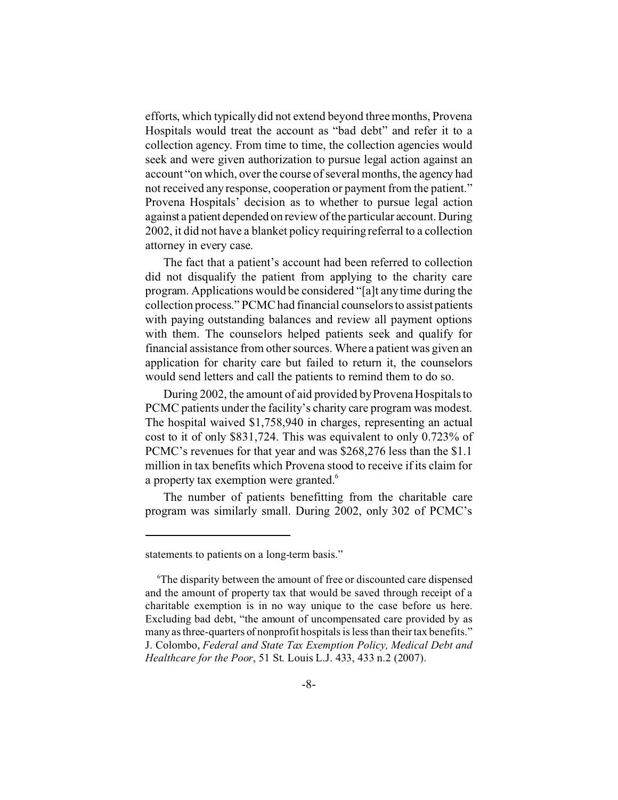efforts, which typically did not extend beyond three months, Provena Hospitals would treat the account as "bad debt" and refer it to a collection agency. From time to time, the collection agencies would seek and were given authorization to pursue legal action against an account "on which, over the course of several months, the agency had not received any response, cooperation or payment from the patient." Provena Hospitals' decision as to whether to pursue legal action against a patient depended on review of the particular account. During 2002, it did not have a blanket policy requiring referral to a collection attorney in every case.

The fact that a patient's account had been referred to collection did not disqualify the patient from applying to the charity care program. Applications would be considered "[a]t any time during the collection process." PCMC had financial counselors to assist patients with paying outstanding balances and review all payment options with them. The counselors helped patients seek and qualify for financial assistance from other sources. Where a patient was given an application for charity care but failed to return it, the counselors would send letters and call the patients to remind them to do so.

During 2002, the amount of aid provided by Provena Hospitals to PCMC patients under the facility's charity care program was modest. The hospital waived \$1,758,940 in charges, representing an actual cost to it of only \$831,724. This was equivalent to only 0.723% of PCMC's revenues for that year and was \$268,276 less than the \$1.1 million in tax benefits which Provena stood to receive if its claim for a property tax exemption were granted.<sup>6</sup>

The number of patients benefitting from the charitable care program was similarly small. During 2002, only 302 of PCMC's

statements to patients on a long-term basis."

<sup>6</sup>The disparity between the amount of free or discounted care dispensed and the amount of property tax that would be saved through receipt of a charitable exemption is in no way unique to the case before us here. Excluding bad debt, "the amount of uncompensated care provided by as many as three-quarters of nonprofit hospitals is less than their tax benefits." J. Colombo, *Federal and State Tax Exemption Policy, Medical Debt and Healthcare for the Poor*, 51 St. Louis L.J. 433, 433 n.2 (2007).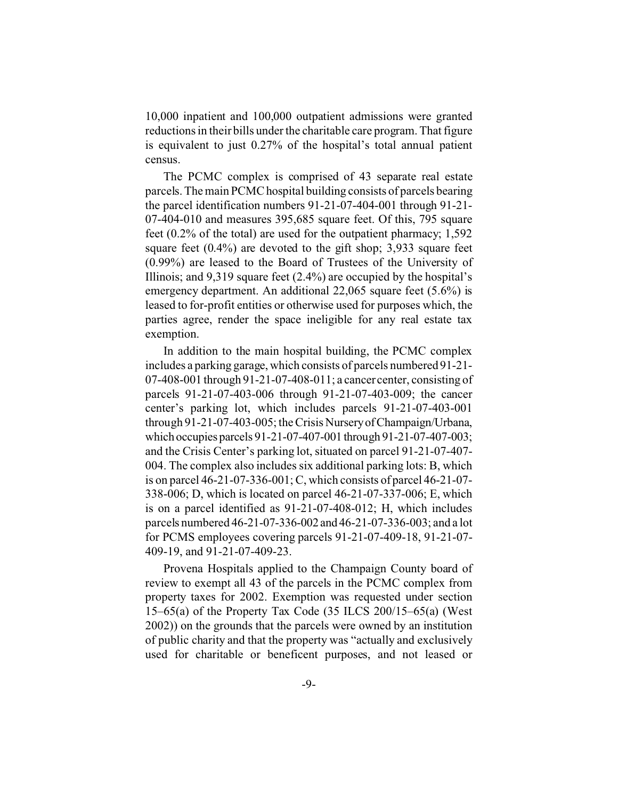10,000 inpatient and 100,000 outpatient admissions were granted reductions in their bills under the charitable care program. That figure is equivalent to just 0.27% of the hospital's total annual patient census.

The PCMC complex is comprised of 43 separate real estate parcels. The main PCMC hospital building consists of parcels bearing the parcel identification numbers 91-21-07-404-001 through 91-21- 07-404-010 and measures 395,685 square feet. Of this, 795 square feet (0.2% of the total) are used for the outpatient pharmacy; 1,592 square feet (0.4%) are devoted to the gift shop; 3,933 square feet (0.99%) are leased to the Board of Trustees of the University of Illinois; and 9,319 square feet (2.4%) are occupied by the hospital's emergency department. An additional 22,065 square feet (5.6%) is leased to for-profit entities or otherwise used for purposes which, the parties agree, render the space ineligible for any real estate tax exemption.

In addition to the main hospital building, the PCMC complex includes a parking garage, which consists of parcels numbered 91-21- 07-408-001 through 91-21-07-408-011; a cancer center, consisting of parcels 91-21-07-403-006 through 91-21-07-403-009; the cancer center's parking lot, which includes parcels 91-21-07-403-001 through 91-21-07-403-005; the Crisis NurseryofChampaign/Urbana, which occupies parcels 91-21-07-407-001 through 91-21-07-407-003; and the Crisis Center's parking lot, situated on parcel 91-21-07-407- 004. The complex also includes six additional parking lots: B, which is on parcel 46-21-07-336-001; C, which consists of parcel 46-21-07- 338-006; D, which is located on parcel 46-21-07-337-006; E, which is on a parcel identified as 91-21-07-408-012; H, which includes parcels numbered 46-21-07-336-002 and 46-21-07-336-003; and a lot for PCMS employees covering parcels 91-21-07-409-18, 91-21-07- 409-19, and 91-21-07-409-23.

Provena Hospitals applied to the Champaign County board of review to exempt all 43 of the parcels in the PCMC complex from property taxes for 2002. Exemption was requested under section 15–65(a) of the Property Tax Code (35 ILCS 200/15–65(a) (West 2002)) on the grounds that the parcels were owned by an institution of public charity and that the property was "actually and exclusively used for charitable or beneficent purposes, and not leased or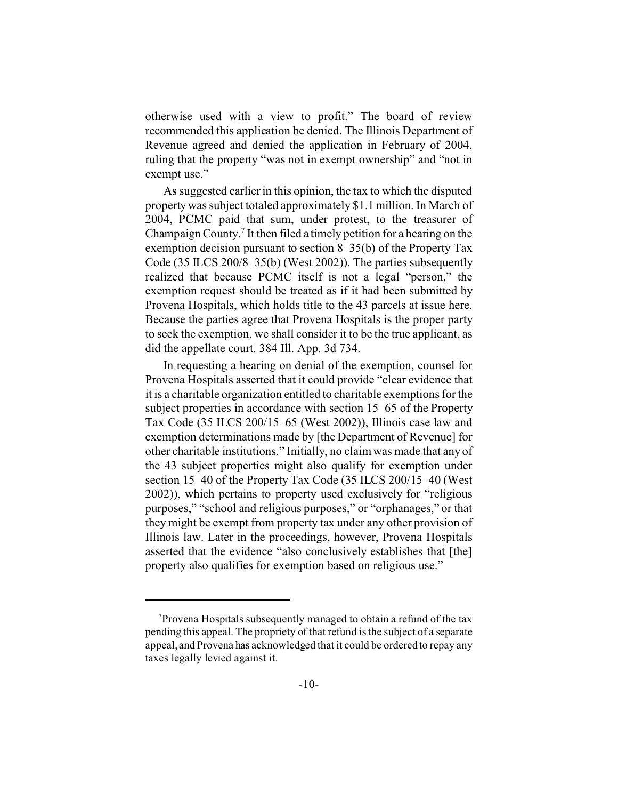otherwise used with a view to profit." The board of review recommended this application be denied. The Illinois Department of Revenue agreed and denied the application in February of 2004, ruling that the property "was not in exempt ownership" and "not in exempt use."

As suggested earlier in this opinion, the tax to which the disputed property was subject totaled approximately \$1.1 million. In March of 2004, PCMC paid that sum, under protest, to the treasurer of Champaign County.<sup>7</sup> It then filed a timely petition for a hearing on the exemption decision pursuant to section 8–35(b) of the Property Tax Code (35 ILCS 200/8–35(b) (West 2002)). The parties subsequently realized that because PCMC itself is not a legal "person," the exemption request should be treated as if it had been submitted by Provena Hospitals, which holds title to the 43 parcels at issue here. Because the parties agree that Provena Hospitals is the proper party to seek the exemption, we shall consider it to be the true applicant, as did the appellate court. 384 Ill. App. 3d 734.

In requesting a hearing on denial of the exemption, counsel for Provena Hospitals asserted that it could provide "clear evidence that it is a charitable organization entitled to charitable exemptions for the subject properties in accordance with section 15–65 of the Property Tax Code (35 ILCS 200/15–65 (West 2002)), Illinois case law and exemption determinations made by [the Department of Revenue] for other charitable institutions." Initially, no claim was made that any of the 43 subject properties might also qualify for exemption under section 15–40 of the Property Tax Code (35 ILCS 200/15–40 (West 2002)), which pertains to property used exclusively for "religious purposes," "school and religious purposes," or "orphanages," or that they might be exempt from property tax under any other provision of Illinois law. Later in the proceedings, however, Provena Hospitals asserted that the evidence "also conclusively establishes that [the] property also qualifies for exemption based on religious use."

<sup>7</sup>Provena Hospitals subsequently managed to obtain a refund of the tax pending this appeal. The propriety of that refund is the subject of a separate appeal, and Provena has acknowledged that it could be ordered to repay any taxes legally levied against it.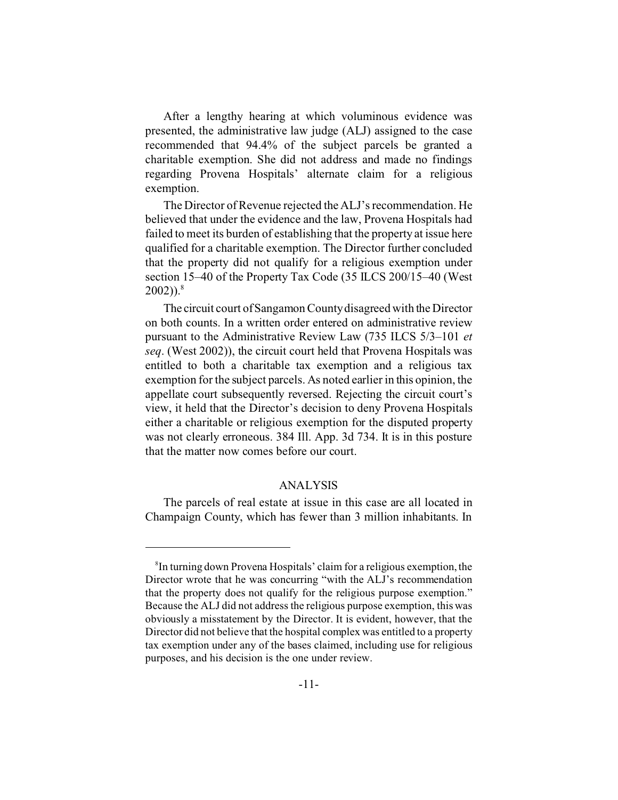After a lengthy hearing at which voluminous evidence was presented, the administrative law judge (ALJ) assigned to the case recommended that 94.4% of the subject parcels be granted a charitable exemption. She did not address and made no findings regarding Provena Hospitals' alternate claim for a religious exemption.

The Director of Revenue rejected the ALJ's recommendation. He believed that under the evidence and the law, Provena Hospitals had failed to meet its burden of establishing that the property at issue here qualified for a charitable exemption. The Director further concluded that the property did not qualify for a religious exemption under section 15–40 of the Property Tax Code (35 ILCS 200/15–40 (West  $2002)$ <sup>8</sup>

The circuit court of Sangamon County disagreed with the Director on both counts. In a written order entered on administrative review pursuant to the Administrative Review Law (735 ILCS 5/3–101 *et seq*. (West 2002)), the circuit court held that Provena Hospitals was entitled to both a charitable tax exemption and a religious tax exemption for the subject parcels. As noted earlier in this opinion, the appellate court subsequently reversed. Rejecting the circuit court's view, it held that the Director's decision to deny Provena Hospitals either a charitable or religious exemption for the disputed property was not clearly erroneous. 384 Ill. App. 3d 734. It is in this posture that the matter now comes before our court.

## ANALYSIS

The parcels of real estate at issue in this case are all located in Champaign County, which has fewer than 3 million inhabitants. In

<sup>8</sup> In turning down Provena Hospitals' claim for a religious exemption, the Director wrote that he was concurring "with the ALJ's recommendation that the property does not qualify for the religious purpose exemption." Because the ALJ did not address the religious purpose exemption, this was obviously a misstatement by the Director. It is evident, however, that the Director did not believe that the hospital complex was entitled to a property tax exemption under any of the bases claimed, including use for religious purposes, and his decision is the one under review.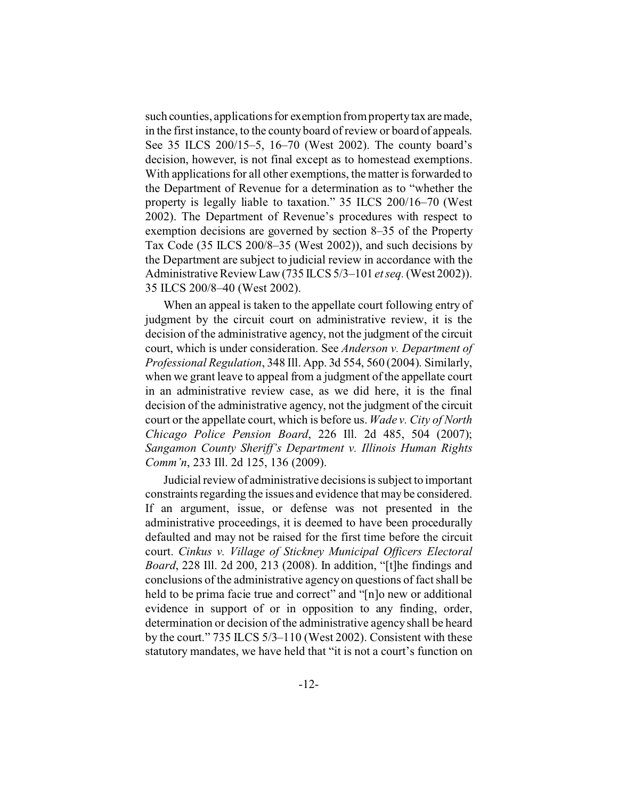such counties, applications for exemption from property tax aremade, in the first instance, to the county board of review or board of appeals. See 35 ILCS 200/15–5, 16–70 (West 2002). The county board's decision, however, is not final except as to homestead exemptions. With applications for all other exemptions, the matter is forwarded to the Department of Revenue for a determination as to "whether the property is legally liable to taxation." 35 ILCS 200/16–70 (West 2002). The Department of Revenue's procedures with respect to exemption decisions are governed by section 8–35 of the Property Tax Code (35 ILCS 200/8–35 (West 2002)), and such decisions by the Department are subject to judicial review in accordance with the Administrative Review Law (735 ILCS 5/3–101 *et seq.* (West 2002)). 35 ILCS 200/8–40 (West 2002).

When an appeal is taken to the appellate court following entry of judgment by the circuit court on administrative review, it is the decision of the administrative agency, not the judgment of the circuit court, which is under consideration. See *Anderson v. Department of Professional Regulation*, 348 Ill. App. 3d 554, 560 (2004). Similarly, when we grant leave to appeal from a judgment of the appellate court in an administrative review case, as we did here, it is the final decision of the administrative agency, not the judgment of the circuit court or the appellate court, which is before us. *Wade v. City of North Chicago Police Pension Board*, 226 Ill. 2d 485, 504 (2007); *Sangamon County Sheriff's Department v. Illinois Human Rights Comm'n*, 233 Ill. 2d 125, 136 (2009).

Judicial review of administrative decisions is subject to important constraints regarding the issues and evidence that may be considered. If an argument, issue, or defense was not presented in the administrative proceedings, it is deemed to have been procedurally defaulted and may not be raised for the first time before the circuit court. *Cinkus v. Village of Stickney Municipal Officers Electoral Board*, 228 Ill. 2d 200, 213 (2008). In addition, "[t]he findings and conclusions of the administrative agency on questions of fact shall be held to be prima facie true and correct" and "[n]o new or additional evidence in support of or in opposition to any finding, order, determination or decision of the administrative agency shall be heard by the court." 735 ILCS 5/3–110 (West 2002). Consistent with these statutory mandates, we have held that "it is not a court's function on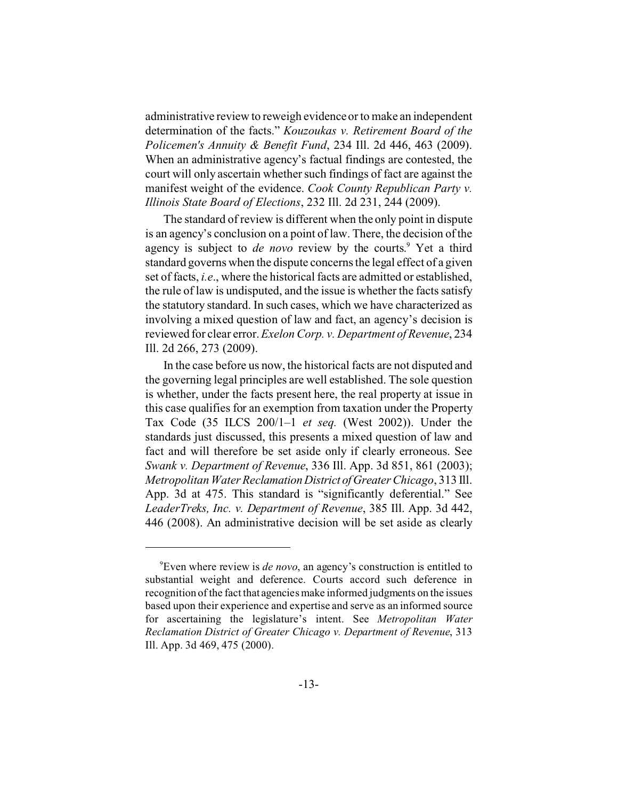administrative review to reweigh evidence or to make an independent determination of the facts." *Kouzoukas v. Retirement Board of the Policemen's Annuity & Benefit Fund*, 234 Ill. 2d 446, 463 (2009). When an administrative agency's factual findings are contested, the court will only ascertain whether such findings of fact are against the manifest weight of the evidence. *Cook County Republican Party v. Illinois State Board of Elections*, 232 Ill. 2d 231, 244 (2009).

The standard of review is different when the only point in dispute is an agency's conclusion on a point of law. There, the decision of the agency is subject to *de novo* review by the courts.<sup>9</sup> Yet a third standard governs when the dispute concerns the legal effect of a given set of facts, *i.e*., where the historical facts are admitted or established, the rule of law is undisputed, and the issue is whether the facts satisfy the statutory standard. In such cases, which we have characterized as involving a mixed question of law and fact, an agency's decision is reviewed for clear error.*Exelon Corp. v. Department of Revenue*, 234 Ill. 2d 266, 273 (2009).

In the case before us now, the historical facts are not disputed and the governing legal principles are well established. The sole question is whether, under the facts present here, the real property at issue in this case qualifies for an exemption from taxation under the Property Tax Code (35 ILCS 200/1–1 *et seq.* (West 2002)). Under the standards just discussed, this presents a mixed question of law and fact and will therefore be set aside only if clearly erroneous. See *Swank v. Department of Revenue*, 336 Ill. App. 3d 851, 861 (2003); *Metropolitan Water ReclamationDistrict ofGreater Chicago*, 313 Ill. App. 3d at 475. This standard is "significantly deferential." See *LeaderTreks, Inc. v. Department of Revenue*, 385 Ill. App. 3d 442, 446 (2008). An administrative decision will be set aside as clearly

<sup>9</sup>Even where review is *de novo*, an agency's construction is entitled to substantial weight and deference. Courts accord such deference in recognition of the fact that agencies make informed judgments on the issues based upon their experience and expertise and serve as an informed source for ascertaining the legislature's intent. See *Metropolitan Water Reclamation District of Greater Chicago v. Department of Revenue*, 313 Ill. App. 3d 469, 475 (2000).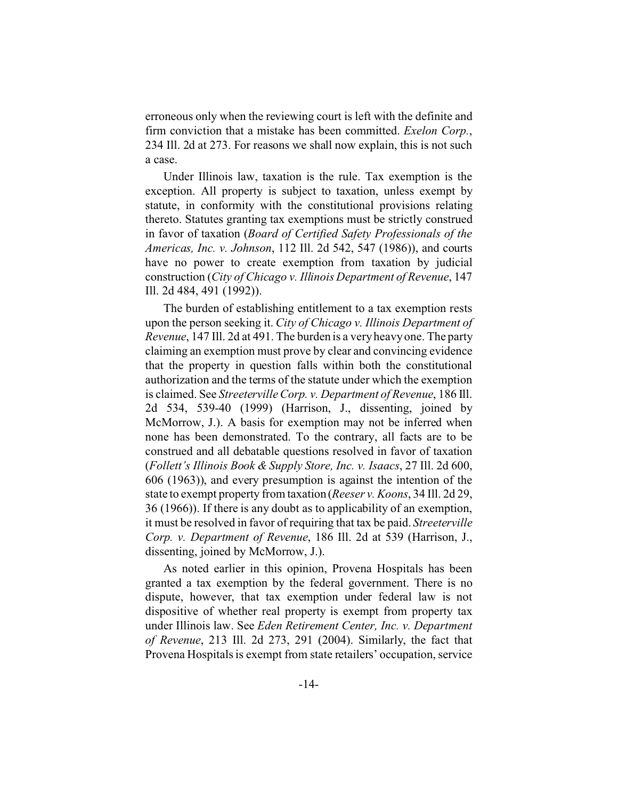erroneous only when the reviewing court is left with the definite and firm conviction that a mistake has been committed. *Exelon Corp.*, 234 Ill. 2d at 273. For reasons we shall now explain, this is not such a case.

Under Illinois law, taxation is the rule. Tax exemption is the exception. All property is subject to taxation, unless exempt by statute, in conformity with the constitutional provisions relating thereto. Statutes granting tax exemptions must be strictly construed in favor of taxation (*Board of Certified Safety Professionals of the Americas, Inc. v. Johnson*, 112 Ill. 2d 542, 547 (1986)), and courts have no power to create exemption from taxation by judicial construction (*City of Chicago v. Illinois Department of Revenue*, 147 Ill. 2d 484, 491 (1992)).

The burden of establishing entitlement to a tax exemption rests upon the person seeking it. *City of Chicago v. Illinois Department of Revenue*, 147 Ill. 2d at 491. The burden is a very heavy one. The party claiming an exemption must prove by clear and convincing evidence that the property in question falls within both the constitutional authorization and the terms of the statute under which the exemption is claimed. See *Streeterville Corp. v. Department of Revenue*, 186 Ill. 2d 534, 539-40 (1999) (Harrison, J., dissenting, joined by McMorrow, J.). A basis for exemption may not be inferred when none has been demonstrated. To the contrary, all facts are to be construed and all debatable questions resolved in favor of taxation (*Follett's Illinois Book & Supply Store, Inc. v. Isaacs*, 27 Ill. 2d 600, 606 (1963)), and every presumption is against the intention of the state to exempt property from taxation (*Reeser v. Koons*, 34 Ill. 2d 29, 36 (1966)). If there is any doubt as to applicability of an exemption, it must be resolved in favor of requiring that tax be paid. *Streeterville Corp. v. Department of Revenue*, 186 Ill. 2d at 539 (Harrison, J., dissenting, joined by McMorrow, J.).

As noted earlier in this opinion, Provena Hospitals has been granted a tax exemption by the federal government. There is no dispute, however, that tax exemption under federal law is not dispositive of whether real property is exempt from property tax under Illinois law. See *Eden Retirement Center, Inc. v. Department of Revenue*, 213 Ill. 2d 273, 291 (2004). Similarly, the fact that Provena Hospitals is exempt from state retailers' occupation, service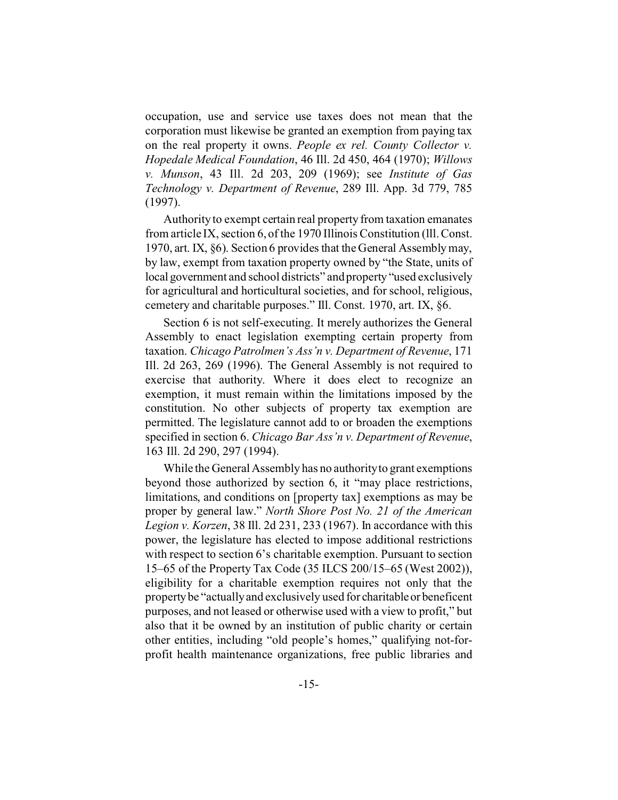occupation, use and service use taxes does not mean that the corporation must likewise be granted an exemption from paying tax on the real property it owns. *People ex rel. County Collector v. Hopedale Medical Foundation*, 46 Ill. 2d 450, 464 (1970); *Willows v. Munson*, 43 Ill. 2d 203, 209 (1969); see *Institute of Gas Technology v. Department of Revenue*, 289 Ill. App. 3d 779, 785 (1997).

Authority to exempt certain real property from taxation emanates from article IX, section 6, of the 1970 Illinois Constitution (lll. Const. 1970, art. IX, §6). Section 6 provides that the General Assembly may, by law, exempt from taxation property owned by "the State, units of local government and school districts" and property "used exclusively for agricultural and horticultural societies, and for school, religious, cemetery and charitable purposes." Ill. Const. 1970, art. IX, §6.

Section 6 is not self-executing. It merely authorizes the General Assembly to enact legislation exempting certain property from taxation. *Chicago Patrolmen's Ass'n v. Department of Revenue*, 171 Ill. 2d 263, 269 (1996). The General Assembly is not required to exercise that authority. Where it does elect to recognize an exemption, it must remain within the limitations imposed by the constitution. No other subjects of property tax exemption are permitted. The legislature cannot add to or broaden the exemptions specified in section 6. *Chicago Bar Ass'n v. Department of Revenue*, 163 Ill. 2d 290, 297 (1994).

While the General Assembly has no authority to grant exemptions beyond those authorized by section 6, it "may place restrictions, limitations, and conditions on [property tax] exemptions as may be proper by general law." *North Shore Post No. 21 of the American Legion v. Korzen*, 38 Ill. 2d 231, 233 (1967). In accordance with this power, the legislature has elected to impose additional restrictions with respect to section 6's charitable exemption. Pursuant to section 15–65 of the Property Tax Code (35 ILCS 200/15–65 (West 2002)), eligibility for a charitable exemption requires not only that the property be "actually and exclusively used for charitableor beneficent purposes, and not leased or otherwise used with a view to profit," but also that it be owned by an institution of public charity or certain other entities, including "old people's homes," qualifying not-forprofit health maintenance organizations, free public libraries and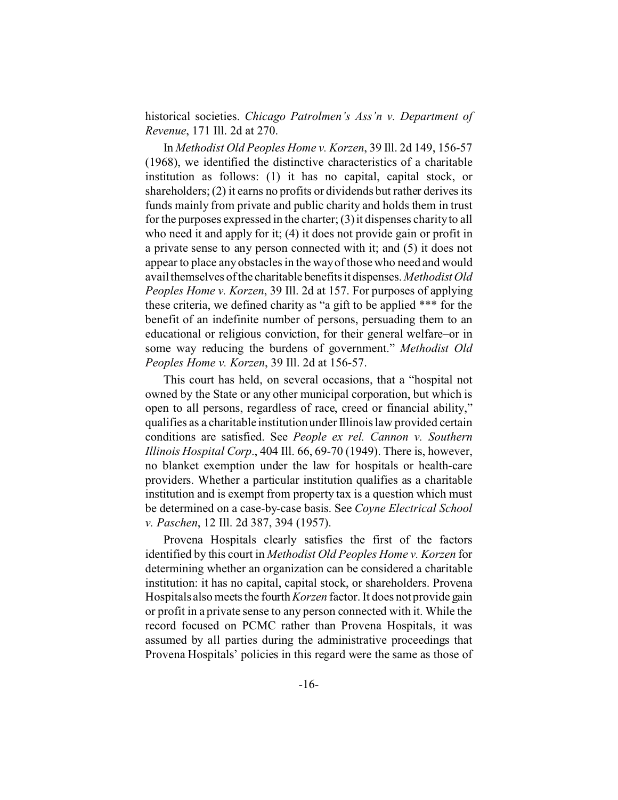historical societies. *Chicago Patrolmen's Ass'n v. Department of Revenue*, 171 Ill. 2d at 270.

In *Methodist Old Peoples Home v. Korzen*, 39 Ill. 2d 149, 156-57 (1968), we identified the distinctive characteristics of a charitable institution as follows: (1) it has no capital, capital stock, or shareholders; (2) it earns no profits or dividends but rather derives its funds mainly from private and public charity and holds them in trust for the purposes expressed in the charter; (3) it dispenses charity to all who need it and apply for it; (4) it does not provide gain or profit in a private sense to any person connected with it; and (5) it does not appear to place any obstacles in the way of those who need and would avail themselves of the charitable benefits it dispenses. *Methodist Old Peoples Home v. Korzen*, 39 Ill. 2d at 157. For purposes of applying these criteria, we defined charity as "a gift to be applied \*\*\* for the benefit of an indefinite number of persons, persuading them to an educational or religious conviction, for their general welfare–or in some way reducing the burdens of government." *Methodist Old Peoples Home v. Korzen*, 39 Ill. 2d at 156-57.

This court has held, on several occasions, that a "hospital not owned by the State or any other municipal corporation, but which is open to all persons, regardless of race, creed or financial ability," qualifies as a charitable institution under Illinois law provided certain conditions are satisfied. See *People ex rel. Cannon v. Southern Illinois Hospital Corp*., 404 Ill. 66, 69-70 (1949). There is, however, no blanket exemption under the law for hospitals or health-care providers. Whether a particular institution qualifies as a charitable institution and is exempt from property tax is a question which must be determined on a case-by-case basis. See *Coyne Electrical School v. Paschen*, 12 Ill. 2d 387, 394 (1957).

Provena Hospitals clearly satisfies the first of the factors identified by this court in *Methodist Old Peoples Home v. Korzen* for determining whether an organization can be considered a charitable institution: it has no capital, capital stock, or shareholders. Provena Hospitals also meets the fourth*Korzen* factor. It does not provide gain or profit in a private sense to any person connected with it. While the record focused on PCMC rather than Provena Hospitals, it was assumed by all parties during the administrative proceedings that Provena Hospitals' policies in this regard were the same as those of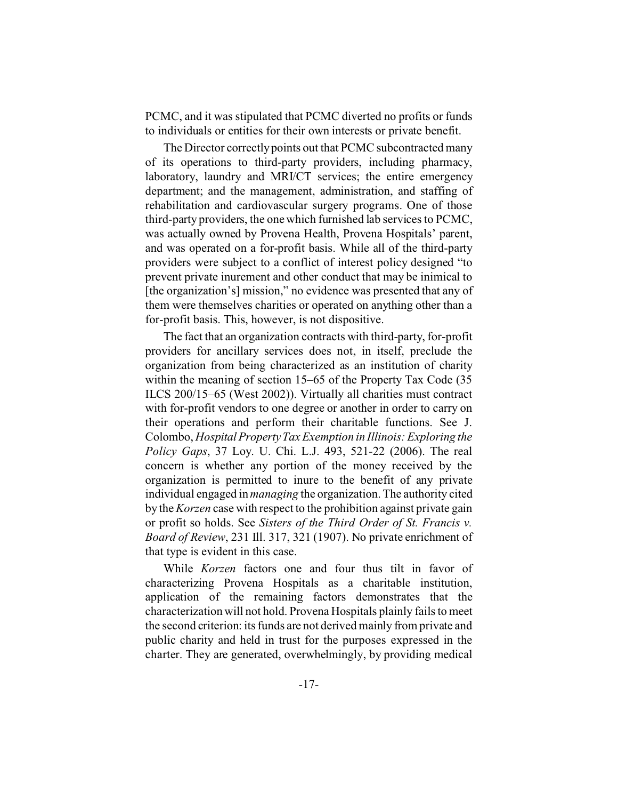PCMC, and it was stipulated that PCMC diverted no profits or funds to individuals or entities for their own interests or private benefit.

The Director correctly points out that PCMC subcontracted many of its operations to third-party providers, including pharmacy, laboratory, laundry and MRI/CT services; the entire emergency department; and the management, administration, and staffing of rehabilitation and cardiovascular surgery programs. One of those third-party providers, the one which furnished lab services to PCMC, was actually owned by Provena Health, Provena Hospitals' parent, and was operated on a for-profit basis. While all of the third-party providers were subject to a conflict of interest policy designed "to prevent private inurement and other conduct that may be inimical to [the organization's] mission," no evidence was presented that any of them were themselves charities or operated on anything other than a for-profit basis. This, however, is not dispositive.

The fact that an organization contracts with third-party, for-profit providers for ancillary services does not, in itself, preclude the organization from being characterized as an institution of charity within the meaning of section 15–65 of the Property Tax Code (35 ILCS 200/15–65 (West 2002)). Virtually all charities must contract with for-profit vendors to one degree or another in order to carry on their operations and perform their charitable functions. See J. Colombo, *Hospital Property Tax Exemption in Illinois: Exploring the Policy Gaps*, 37 Loy. U. Chi. L.J. 493, 521-22 (2006). The real concern is whether any portion of the money received by the organization is permitted to inure to the benefit of any private individual engaged in *managing* the organization.The authority cited by the *Korzen* case with respect to the prohibition against private gain or profit so holds. See *Sisters of the Third Order of St. Francis v. Board of Review*, 231 Ill. 317, 321 (1907). No private enrichment of that type is evident in this case.

While *Korzen* factors one and four thus tilt in favor of characterizing Provena Hospitals as a charitable institution, application of the remaining factors demonstrates that the characterization will not hold. Provena Hospitals plainly fails to meet the second criterion: its funds are not derived mainly from private and public charity and held in trust for the purposes expressed in the charter. They are generated, overwhelmingly, by providing medical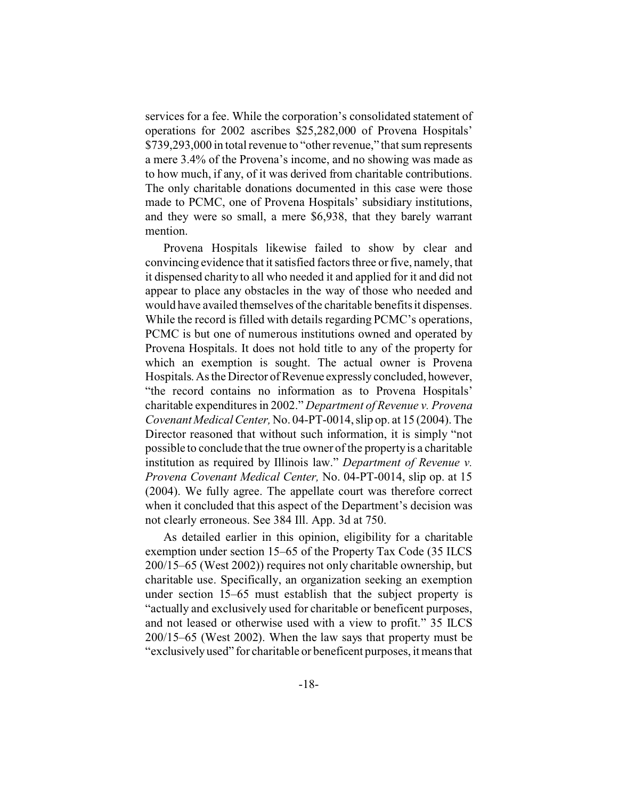services for a fee. While the corporation's consolidated statement of operations for 2002 ascribes \$25,282,000 of Provena Hospitals' \$739,293,000 in total revenue to "other revenue," that sum represents a mere 3.4% of the Provena's income, and no showing was made as to how much, if any, of it was derived from charitable contributions. The only charitable donations documented in this case were those made to PCMC, one of Provena Hospitals' subsidiary institutions, and they were so small, a mere \$6,938, that they barely warrant mention.

Provena Hospitals likewise failed to show by clear and convincing evidence that it satisfied factors three or five, namely, that it dispensed charity to all who needed it and applied for it and did not appear to place any obstacles in the way of those who needed and would have availed themselves of the charitable benefits it dispenses. While the record is filled with details regarding PCMC's operations, PCMC is but one of numerous institutions owned and operated by Provena Hospitals. It does not hold title to any of the property for which an exemption is sought. The actual owner is Provena Hospitals. As the Director of Revenue expressly concluded, however, "the record contains no information as to Provena Hospitals' charitable expenditures in 2002." *Department of Revenue v. Provena Covenant Medical Center,* No. 04-PT-0014, slip op. at 15 (2004). The Director reasoned that without such information, it is simply "not possible to conclude that the true owner of the property is a charitable institution as required by Illinois law." *Department of Revenue v. Provena Covenant Medical Center,* No. 04-PT-0014, slip op. at 15 (2004). We fully agree. The appellate court was therefore correct when it concluded that this aspect of the Department's decision was not clearly erroneous. See 384 Ill. App. 3d at 750.

As detailed earlier in this opinion, eligibility for a charitable exemption under section 15–65 of the Property Tax Code (35 ILCS 200/15–65 (West 2002)) requires not only charitable ownership, but charitable use. Specifically, an organization seeking an exemption under section 15–65 must establish that the subject property is "actually and exclusively used for charitable or beneficent purposes, and not leased or otherwise used with a view to profit." 35 ILCS 200/15–65 (West 2002). When the law says that property must be "exclusively used" for charitable or beneficent purposes, it means that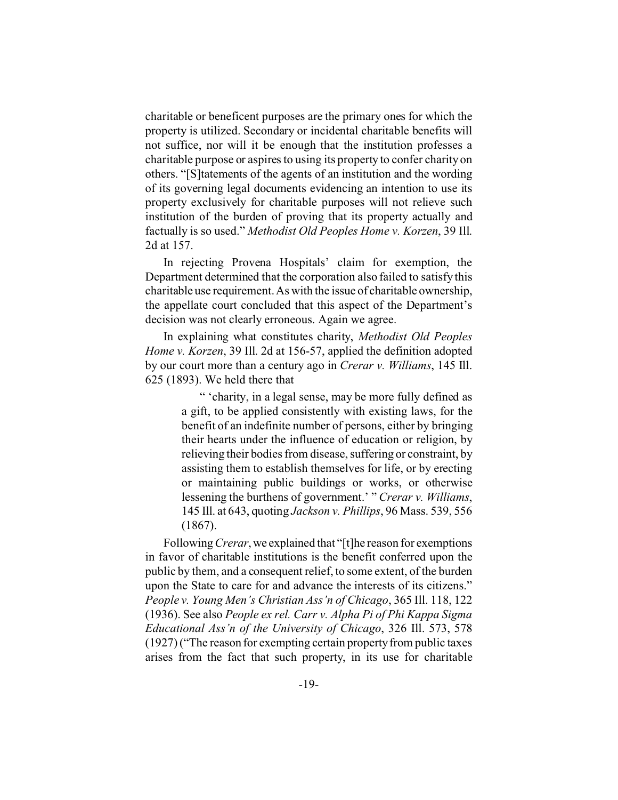charitable or beneficent purposes are the primary ones for which the property is utilized. Secondary or incidental charitable benefits will not suffice, nor will it be enough that the institution professes a charitable purpose or aspires to using its property to confer charity on others. "[S]tatements of the agents of an institution and the wording of its governing legal documents evidencing an intention to use its property exclusively for charitable purposes will not relieve such institution of the burden of proving that its property actually and factually is so used." *Methodist Old Peoples Home v. Korzen*, 39 Ill. 2d at 157.

In rejecting Provena Hospitals' claim for exemption, the Department determined that the corporation also failed to satisfy this charitable use requirement. As with the issue of charitable ownership, the appellate court concluded that this aspect of the Department's decision was not clearly erroneous. Again we agree.

In explaining what constitutes charity, *Methodist Old Peoples Home v. Korzen*, 39 Ill. 2d at 156-57, applied the definition adopted by our court more than a century ago in *Crerar v. Williams*, 145 Ill. 625 (1893). We held there that

> " 'charity, in a legal sense, may be more fully defined as a gift, to be applied consistently with existing laws, for the benefit of an indefinite number of persons, either by bringing their hearts under the influence of education or religion, by relieving their bodies from disease, suffering or constraint, by assisting them to establish themselves for life, or by erecting or maintaining public buildings or works, or otherwise lessening the burthens of government.' " *Crerar v. Williams*, 145 Ill. at 643, quoting *Jackson v. Phillips*, 96 Mass. 539, 556 (1867).

Following*Crerar*,we explained that "[t]he reason for exemptions in favor of charitable institutions is the benefit conferred upon the public by them, and a consequent relief, to some extent, of the burden upon the State to care for and advance the interests of its citizens." *People v. Young Men's Christian Ass'n of Chicago*, 365 Ill. 118, 122 (1936). See also *People ex rel. Carr v. Alpha Pi of Phi Kappa Sigma Educational Ass'n of the University of Chicago*, 326 Ill. 573, 578 (1927) ("The reason for exempting certain property from public taxes arises from the fact that such property, in its use for charitable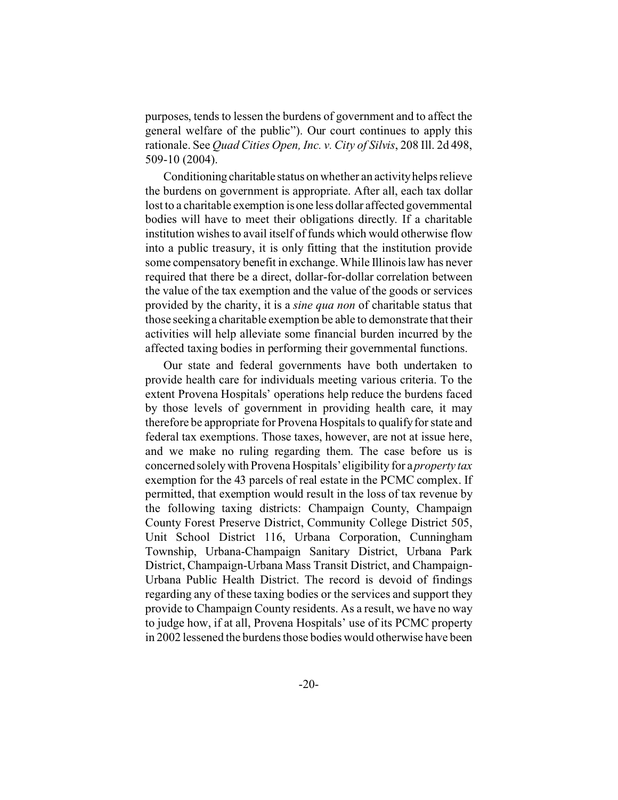purposes, tends to lessen the burdens of government and to affect the general welfare of the public"). Our court continues to apply this rationale. See *Quad Cities Open, Inc. v. City of Silvis*, 208 Ill. 2d 498, 509-10 (2004).

Conditioning charitable status on whether an activity helps relieve the burdens on government is appropriate. After all, each tax dollar lost to a charitable exemption is one less dollar affected governmental bodies will have to meet their obligations directly. If a charitable institution wishes to avail itself of funds which would otherwise flow into a public treasury, it is only fitting that the institution provide some compensatory benefit in exchange. While Illinois law has never required that there be a direct, dollar-for-dollar correlation between the value of the tax exemption and the value of the goods or services provided by the charity, it is a *sine qua non* of charitable status that those seeking a charitable exemption be able to demonstrate that their activities will help alleviate some financial burden incurred by the affected taxing bodies in performing their governmental functions.

Our state and federal governments have both undertaken to provide health care for individuals meeting various criteria. To the extent Provena Hospitals' operations help reduce the burdens faced by those levels of government in providing health care, it may therefore be appropriate for Provena Hospitals to qualify for state and federal tax exemptions. Those taxes, however, are not at issue here, and we make no ruling regarding them. The case before us is concerned solely with Provena Hospitals' eligibility for a *property tax* exemption for the 43 parcels of real estate in the PCMC complex. If permitted, that exemption would result in the loss of tax revenue by the following taxing districts: Champaign County, Champaign County Forest Preserve District, Community College District 505, Unit School District 116, Urbana Corporation, Cunningham Township, Urbana-Champaign Sanitary District, Urbana Park District, Champaign-Urbana Mass Transit District, and Champaign-Urbana Public Health District. The record is devoid of findings regarding any of these taxing bodies or the services and support they provide to Champaign County residents. As a result, we have no way to judge how, if at all, Provena Hospitals' use of its PCMC property in 2002 lessened the burdens those bodies would otherwise have been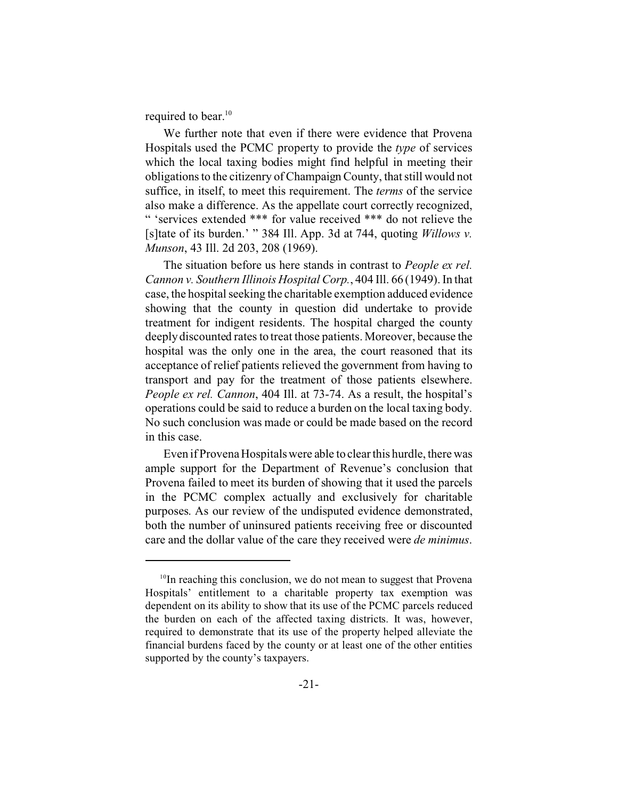required to bear.<sup>10</sup>

We further note that even if there were evidence that Provena Hospitals used the PCMC property to provide the *type* of services which the local taxing bodies might find helpful in meeting their obligations to the citizenry of Champaign County, that still would not suffice, in itself, to meet this requirement. The *terms* of the service also make a difference. As the appellate court correctly recognized, " 'services extended \*\*\* for value received \*\*\* do not relieve the [s]tate of its burden.' " 384 Ill. App. 3d at 744, quoting *Willows v. Munson*, 43 Ill. 2d 203, 208 (1969).

The situation before us here stands in contrast to *People ex rel. Cannon v. Southern Illinois Hospital Corp.*, 404 Ill. 66 (1949). In that case, the hospital seeking the charitable exemption adduced evidence showing that the county in question did undertake to provide treatment for indigent residents. The hospital charged the county deeply discounted rates to treat those patients. Moreover, because the hospital was the only one in the area, the court reasoned that its acceptance of relief patients relieved the government from having to transport and pay for the treatment of those patients elsewhere. *People ex rel. Cannon*, 404 Ill. at 73-74. As a result, the hospital's operations could be said to reduce a burden on the local taxing body. No such conclusion was made or could be made based on the record in this case.

Even if Provena Hospitals were able to clear this hurdle, there was ample support for the Department of Revenue's conclusion that Provena failed to meet its burden of showing that it used the parcels in the PCMC complex actually and exclusively for charitable purposes. As our review of the undisputed evidence demonstrated, both the number of uninsured patients receiving free or discounted care and the dollar value of the care they received were *de minimus*.

 $10$ In reaching this conclusion, we do not mean to suggest that Provena Hospitals' entitlement to a charitable property tax exemption was dependent on its ability to show that its use of the PCMC parcels reduced the burden on each of the affected taxing districts. It was, however, required to demonstrate that its use of the property helped alleviate the financial burdens faced by the county or at least one of the other entities supported by the county's taxpayers.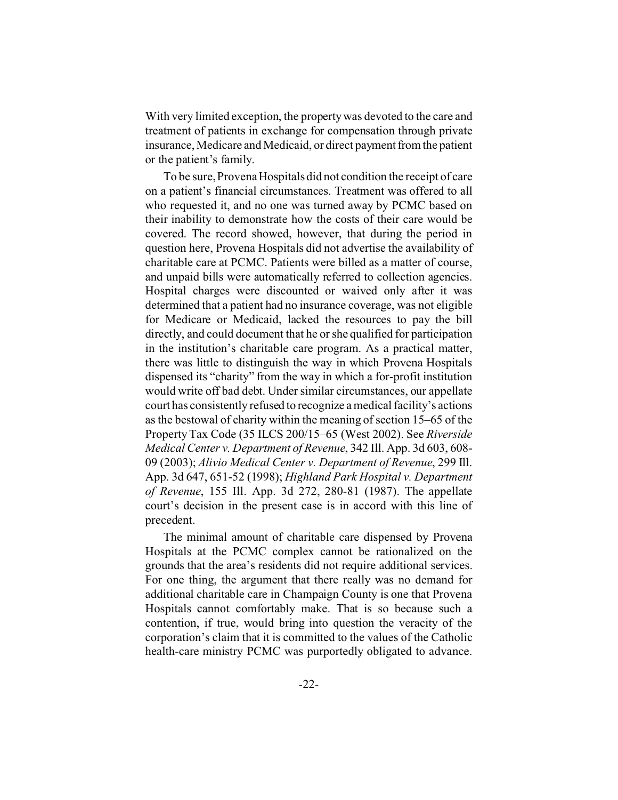With very limited exception, the property was devoted to the care and treatment of patients in exchange for compensation through private insurance, Medicare and Medicaid, or direct payment from the patient or the patient's family.

To be sure, Provena Hospitals did not condition the receipt of care on a patient's financial circumstances. Treatment was offered to all who requested it, and no one was turned away by PCMC based on their inability to demonstrate how the costs of their care would be covered. The record showed, however, that during the period in question here, Provena Hospitals did not advertise the availability of charitable care at PCMC. Patients were billed as a matter of course, and unpaid bills were automatically referred to collection agencies. Hospital charges were discounted or waived only after it was determined that a patient had no insurance coverage, was not eligible for Medicare or Medicaid, lacked the resources to pay the bill directly, and could document that he or she qualified for participation in the institution's charitable care program. As a practical matter, there was little to distinguish the way in which Provena Hospitals dispensed its "charity" from the way in which a for-profit institution would write off bad debt. Under similar circumstances, our appellate court has consistently refused to recognize a medical facility's actions as the bestowal of charity within the meaning of section 15–65 of the Property Tax Code (35 ILCS 200/15–65 (West 2002). See *Riverside Medical Center v. Department of Revenue*, 342 Ill. App. 3d 603, 608- 09 (2003); *Alivio Medical Center v. Department of Revenue*, 299 Ill. App. 3d 647, 651-52 (1998); *Highland Park Hospital v. Department of Revenue*, 155 Ill. App. 3d 272, 280-81 (1987). The appellate court's decision in the present case is in accord with this line of precedent.

The minimal amount of charitable care dispensed by Provena Hospitals at the PCMC complex cannot be rationalized on the grounds that the area's residents did not require additional services. For one thing, the argument that there really was no demand for additional charitable care in Champaign County is one that Provena Hospitals cannot comfortably make. That is so because such a contention, if true, would bring into question the veracity of the corporation's claim that it is committed to the values of the Catholic health-care ministry PCMC was purportedly obligated to advance.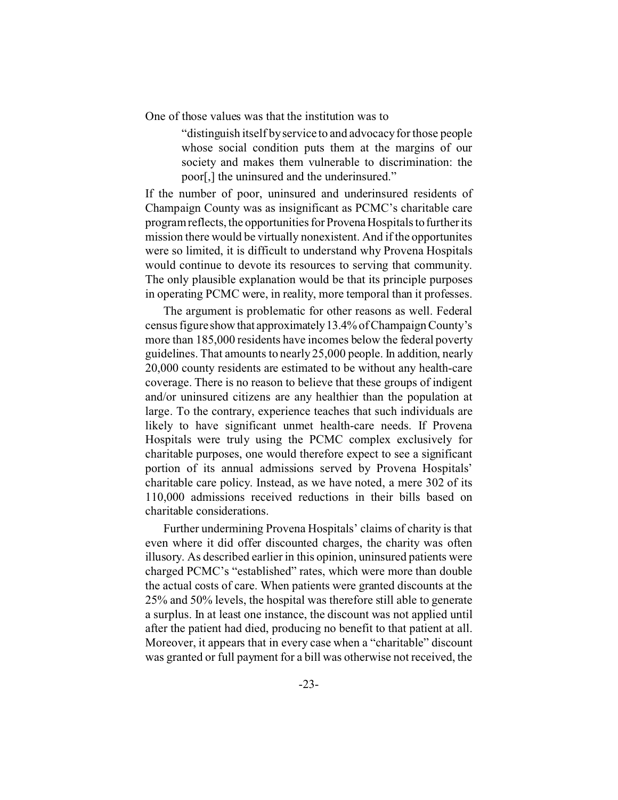One of those values was that the institution was to

"distinguish itself by service to and advocacy for those people whose social condition puts them at the margins of our society and makes them vulnerable to discrimination: the poor[,] the uninsured and the underinsured."

If the number of poor, uninsured and underinsured residents of Champaign County was as insignificant as PCMC's charitable care program reflects, the opportunities for Provena Hospitals to further its mission there would be virtually nonexistent. And if the opportunites were so limited, it is difficult to understand why Provena Hospitals would continue to devote its resources to serving that community. The only plausible explanation would be that its principle purposes in operating PCMC were, in reality, more temporal than it professes.

The argument is problematic for other reasons as well. Federal census figure showthat approximately13.4% of Champaign County's more than 185,000 residents have incomes below the federal poverty guidelines. That amounts to nearly 25,000 people. In addition, nearly 20,000 county residents are estimated to be without any health-care coverage. There is no reason to believe that these groups of indigent and/or uninsured citizens are any healthier than the population at large. To the contrary, experience teaches that such individuals are likely to have significant unmet health-care needs. If Provena Hospitals were truly using the PCMC complex exclusively for charitable purposes, one would therefore expect to see a significant portion of its annual admissions served by Provena Hospitals' charitable care policy. Instead, as we have noted, a mere 302 of its 110,000 admissions received reductions in their bills based on charitable considerations.

Further undermining Provena Hospitals' claims of charity is that even where it did offer discounted charges, the charity was often illusory. As described earlier in this opinion, uninsured patients were charged PCMC's "established" rates, which were more than double the actual costs of care. When patients were granted discounts at the 25% and 50% levels, the hospital was therefore still able to generate a surplus. In at least one instance, the discount was not applied until after the patient had died, producing no benefit to that patient at all. Moreover, it appears that in every case when a "charitable" discount was granted or full payment for a bill was otherwise not received, the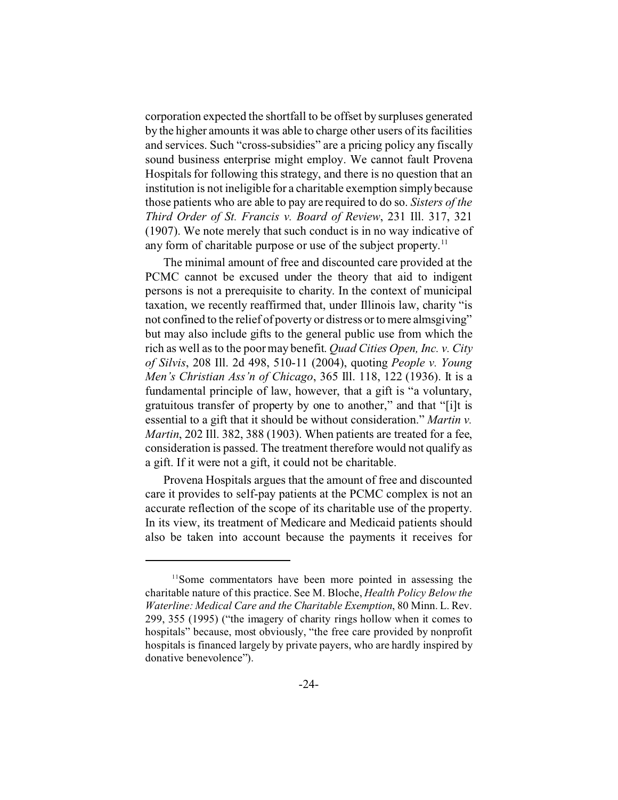corporation expected the shortfall to be offset by surpluses generated by the higher amounts it was able to charge other users of its facilities and services. Such "cross-subsidies" are a pricing policy any fiscally sound business enterprise might employ. We cannot fault Provena Hospitals for following this strategy, and there is no question that an institution is not ineligible for a charitable exemption simply because those patients who are able to pay are required to do so. *Sisters of the Third Order of St. Francis v. Board of Review*, 231 Ill. 317, 321 (1907). We note merely that such conduct is in no way indicative of any form of charitable purpose or use of the subject property.<sup>11</sup>

The minimal amount of free and discounted care provided at the PCMC cannot be excused under the theory that aid to indigent persons is not a prerequisite to charity. In the context of municipal taxation, we recently reaffirmed that, under Illinois law, charity "is not confined to the relief of poverty or distress or to mere almsgiving" but may also include gifts to the general public use from which the rich as well as to the poor may benefit. *Quad Cities Open, Inc. v. City of Silvis*, 208 Ill. 2d 498, 510-11 (2004), quoting *People v. Young Men's Christian Ass'n of Chicago*, 365 Ill. 118, 122 (1936). It is a fundamental principle of law, however, that a gift is "a voluntary, gratuitous transfer of property by one to another," and that "[i]t is essential to a gift that it should be without consideration." *Martin v. Martin*, 202 Ill. 382, 388 (1903). When patients are treated for a fee, consideration is passed. The treatment therefore would not qualify as a gift. If it were not a gift, it could not be charitable.

Provena Hospitals argues that the amount of free and discounted care it provides to self-pay patients at the PCMC complex is not an accurate reflection of the scope of its charitable use of the property. In its view, its treatment of Medicare and Medicaid patients should also be taken into account because the payments it receives for

<sup>&</sup>lt;sup>11</sup>Some commentators have been more pointed in assessing the charitable nature of this practice. See M. Bloche, *Health Policy Below the Waterline: Medical Care and the Charitable Exemption*, 80 Minn. L. Rev. 299, 355 (1995) ("the imagery of charity rings hollow when it comes to hospitals" because, most obviously, "the free care provided by nonprofit hospitals is financed largely by private payers, who are hardly inspired by donative benevolence").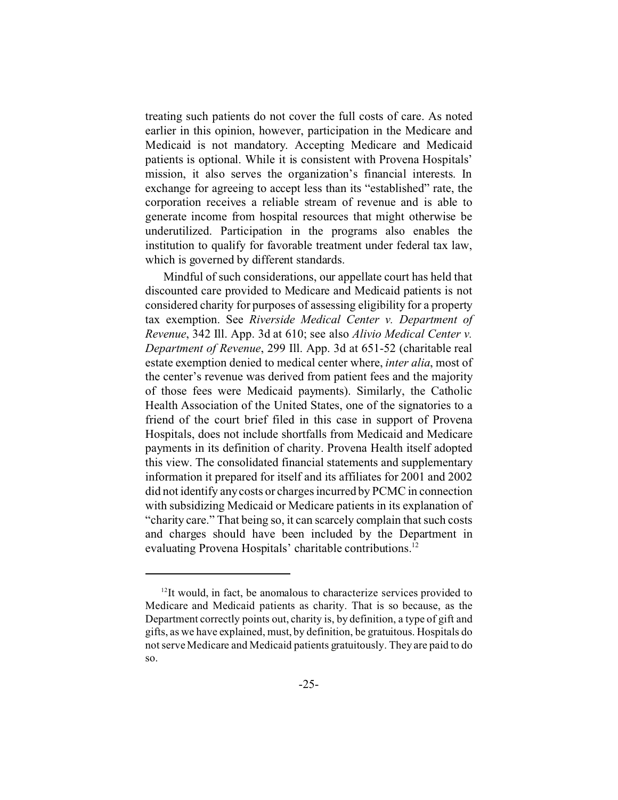treating such patients do not cover the full costs of care. As noted earlier in this opinion, however, participation in the Medicare and Medicaid is not mandatory. Accepting Medicare and Medicaid patients is optional. While it is consistent with Provena Hospitals' mission, it also serves the organization's financial interests. In exchange for agreeing to accept less than its "established" rate, the corporation receives a reliable stream of revenue and is able to generate income from hospital resources that might otherwise be underutilized. Participation in the programs also enables the institution to qualify for favorable treatment under federal tax law, which is governed by different standards.

Mindful of such considerations, our appellate court has held that discounted care provided to Medicare and Medicaid patients is not considered charity for purposes of assessing eligibility for a property tax exemption. See *Riverside Medical Center v. Department of Revenue*, 342 Ill. App. 3d at 610; see also *Alivio Medical Center v. Department of Revenue*, 299 Ill. App. 3d at 651-52 (charitable real estate exemption denied to medical center where, *inter alia*, most of the center's revenue was derived from patient fees and the majority of those fees were Medicaid payments). Similarly, the Catholic Health Association of the United States, one of the signatories to a friend of the court brief filed in this case in support of Provena Hospitals, does not include shortfalls from Medicaid and Medicare payments in its definition of charity. Provena Health itself adopted this view. The consolidated financial statements and supplementary information it prepared for itself and its affiliates for 2001 and 2002 did not identify any costs or charges incurred by PCMC in connection with subsidizing Medicaid or Medicare patients in its explanation of "charity care." That being so, it can scarcely complain that such costs and charges should have been included by the Department in evaluating Provena Hospitals' charitable contributions.<sup>12</sup>

 $12$ It would, in fact, be anomalous to characterize services provided to Medicare and Medicaid patients as charity. That is so because, as the Department correctly points out, charity is, by definition, a type of gift and gifts, as we have explained, must, by definition, be gratuitous. Hospitals do not serve Medicare and Medicaid patients gratuitously. They are paid to do so.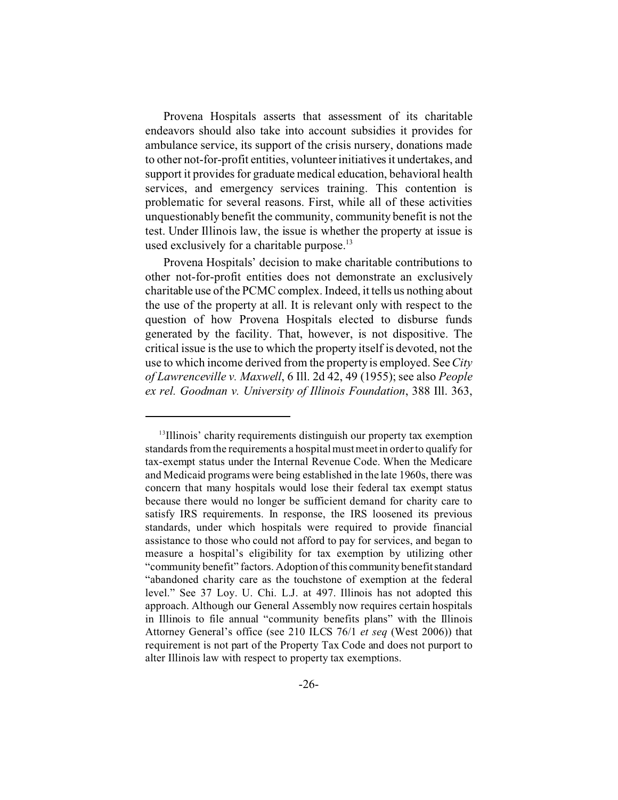Provena Hospitals asserts that assessment of its charitable endeavors should also take into account subsidies it provides for ambulance service, its support of the crisis nursery, donations made to other not-for-profit entities, volunteer initiatives it undertakes, and support it provides for graduate medical education, behavioral health services, and emergency services training. This contention is problematic for several reasons. First, while all of these activities unquestionably benefit the community, community benefit is not the test. Under Illinois law, the issue is whether the property at issue is used exclusively for a charitable purpose. $^{13}$ 

Provena Hospitals' decision to make charitable contributions to other not-for-profit entities does not demonstrate an exclusively charitable use of the PCMC complex. Indeed, it tells us nothing about the use of the property at all. It is relevant only with respect to the question of how Provena Hospitals elected to disburse funds generated by the facility. That, however, is not dispositive. The critical issue is the use to which the property itself is devoted, not the use to which income derived from the property is employed. See*City of Lawrenceville v. Maxwell*, 6 Ill. 2d 42, 49 (1955); see also *People ex rel. Goodman v. University of Illinois Foundation*, 388 Ill. 363,

<sup>&</sup>lt;sup>13</sup>Illinois' charity requirements distinguish our property tax exemption standards from the requirements a hospital must meet in order to qualify for tax-exempt status under the Internal Revenue Code. When the Medicare and Medicaid programs were being established in the late 1960s, there was concern that many hospitals would lose their federal tax exempt status because there would no longer be sufficient demand for charity care to satisfy IRS requirements. In response, the IRS loosened its previous standards, under which hospitals were required to provide financial assistance to those who could not afford to pay for services, and began to measure a hospital's eligibility for tax exemption by utilizing other "community benefit" factors. Adoption of this community benefit standard "abandoned charity care as the touchstone of exemption at the federal level." See 37 Loy. U. Chi. L.J. at 497. Illinois has not adopted this approach. Although our General Assembly now requires certain hospitals in Illinois to file annual "community benefits plans" with the Illinois Attorney General's office (see 210 ILCS 76/1 *et seq* (West 2006)) that requirement is not part of the Property Tax Code and does not purport to alter Illinois law with respect to property tax exemptions.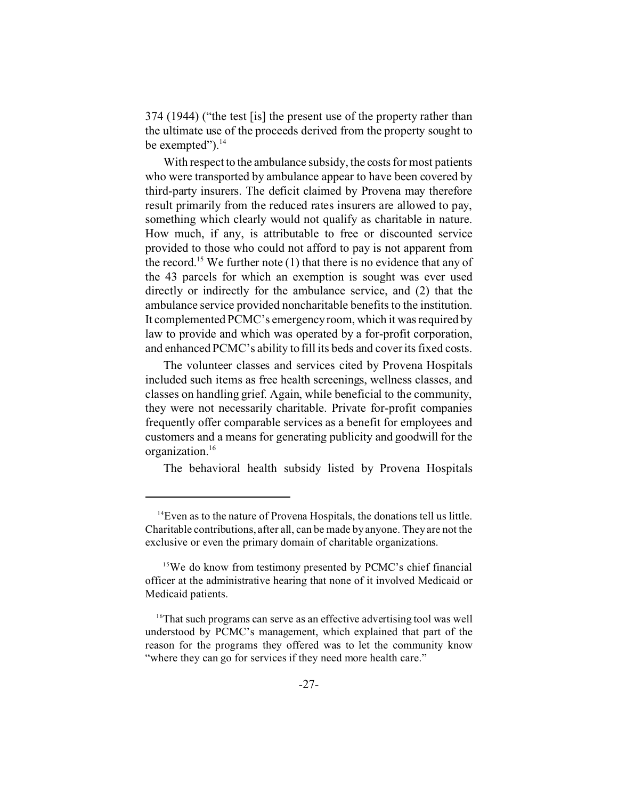374 (1944) ("the test [is] the present use of the property rather than the ultimate use of the proceeds derived from the property sought to be exempted"). $^{14}$ 

With respect to the ambulance subsidy, the costs for most patients who were transported by ambulance appear to have been covered by third-party insurers. The deficit claimed by Provena may therefore result primarily from the reduced rates insurers are allowed to pay, something which clearly would not qualify as charitable in nature. How much, if any, is attributable to free or discounted service provided to those who could not afford to pay is not apparent from the record.<sup>15</sup> We further note (1) that there is no evidence that any of the 43 parcels for which an exemption is sought was ever used directly or indirectly for the ambulance service, and (2) that the ambulance service provided noncharitable benefits to the institution. It complemented PCMC's emergency room, which it was required by law to provide and which was operated by a for-profit corporation, and enhanced PCMC's ability to fill its beds and cover its fixed costs.

The volunteer classes and services cited by Provena Hospitals included such items as free health screenings, wellness classes, and classes on handling grief. Again, while beneficial to the community, they were not necessarily charitable. Private for-profit companies frequently offer comparable services as a benefit for employees and customers and a means for generating publicity and goodwill for the organization.<sup>16</sup>

The behavioral health subsidy listed by Provena Hospitals

<sup>&</sup>lt;sup>14</sup>Even as to the nature of Provena Hospitals, the donations tell us little. Charitable contributions, after all, can be made by anyone. They are not the exclusive or even the primary domain of charitable organizations.

<sup>&</sup>lt;sup>15</sup>We do know from testimony presented by PCMC's chief financial officer at the administrative hearing that none of it involved Medicaid or Medicaid patients.

<sup>&</sup>lt;sup>16</sup>That such programs can serve as an effective advertising tool was well understood by PCMC's management, which explained that part of the reason for the programs they offered was to let the community know "where they can go for services if they need more health care."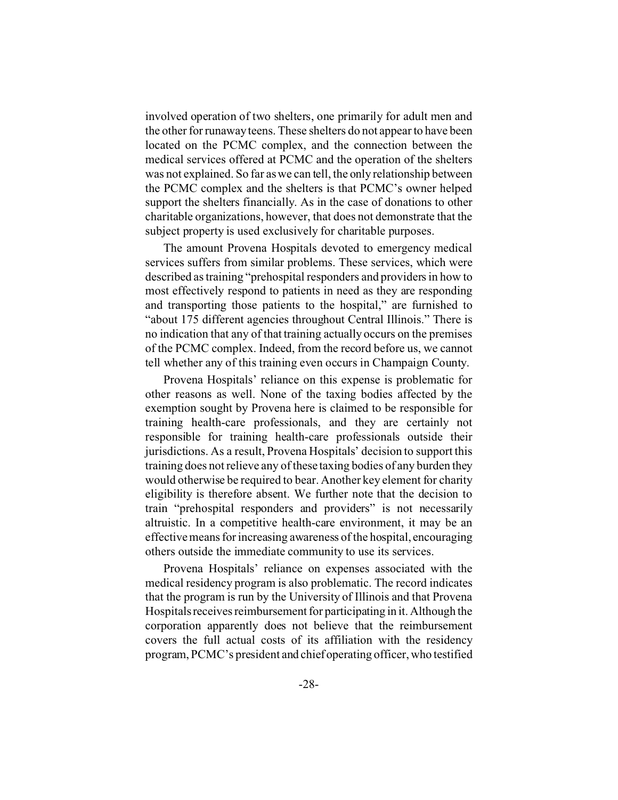involved operation of two shelters, one primarily for adult men and the other for runaway teens. These shelters do not appear to have been located on the PCMC complex, and the connection between the medical services offered at PCMC and the operation of the shelters was not explained. So far as we can tell, the only relationship between the PCMC complex and the shelters is that PCMC's owner helped support the shelters financially. As in the case of donations to other charitable organizations, however, that does not demonstrate that the subject property is used exclusively for charitable purposes.

The amount Provena Hospitals devoted to emergency medical services suffers from similar problems. These services, which were described as training "prehospital responders and providers in how to most effectively respond to patients in need as they are responding and transporting those patients to the hospital," are furnished to "about 175 different agencies throughout Central Illinois." There is no indication that any of that training actually occurs on the premises of the PCMC complex. Indeed, from the record before us, we cannot tell whether any of this training even occurs in Champaign County.

Provena Hospitals' reliance on this expense is problematic for other reasons as well. None of the taxing bodies affected by the exemption sought by Provena here is claimed to be responsible for training health-care professionals, and they are certainly not responsible for training health-care professionals outside their jurisdictions. As a result, Provena Hospitals' decision to support this training does not relieve any of these taxing bodies of any burden they would otherwise be required to bear. Another key element for charity eligibility is therefore absent. We further note that the decision to train "prehospital responders and providers" is not necessarily altruistic. In a competitive health-care environment, it may be an effective means for increasing awareness of the hospital, encouraging others outside the immediate community to use its services.

Provena Hospitals' reliance on expenses associated with the medical residency program is also problematic. The record indicates that the program is run by the University of Illinois and that Provena Hospitals receives reimbursement for participating in it. Although the corporation apparently does not believe that the reimbursement covers the full actual costs of its affiliation with the residency program, PCMC's president and chief operating officer, who testified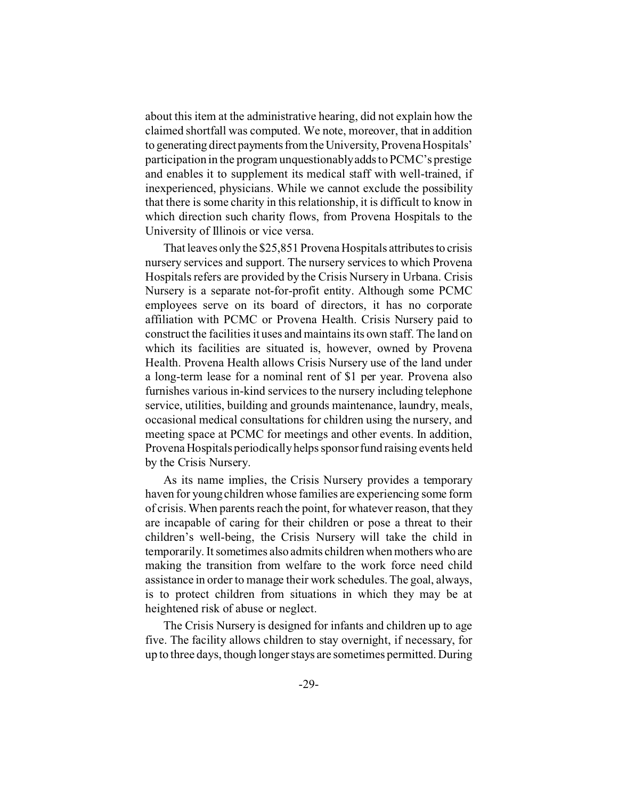about this item at the administrative hearing, did not explain how the claimed shortfall was computed. We note, moreover, that in addition to generating direct payments from the University, Provena Hospitals' participation in the program unquestionably adds to PCMC's prestige and enables it to supplement its medical staff with well-trained, if inexperienced, physicians. While we cannot exclude the possibility that there is some charity in this relationship, it is difficult to know in which direction such charity flows, from Provena Hospitals to the University of Illinois or vice versa.

That leaves only the \$25,851 Provena Hospitals attributes to crisis nursery services and support. The nursery services to which Provena Hospitals refers are provided by the Crisis Nursery in Urbana. Crisis Nursery is a separate not-for-profit entity. Although some PCMC employees serve on its board of directors, it has no corporate affiliation with PCMC or Provena Health. Crisis Nursery paid to construct the facilities it uses and maintains its own staff. The land on which its facilities are situated is, however, owned by Provena Health. Provena Health allows Crisis Nursery use of the land under a long-term lease for a nominal rent of \$1 per year. Provena also furnishes various in-kind services to the nursery including telephone service, utilities, building and grounds maintenance, laundry, meals, occasional medical consultations for children using the nursery, and meeting space at PCMC for meetings and other events. In addition, Provena Hospitals periodically helps sponsor fund raising events held by the Crisis Nursery.

As its name implies, the Crisis Nursery provides a temporary haven for young children whose families are experiencing some form of crisis. When parents reach the point, for whatever reason, that they are incapable of caring for their children or pose a threat to their children's well-being, the Crisis Nursery will take the child in temporarily. It sometimes also admits children when mothers who are making the transition from welfare to the work force need child assistance in order to manage their work schedules. The goal, always, is to protect children from situations in which they may be at heightened risk of abuse or neglect.

The Crisis Nursery is designed for infants and children up to age five. The facility allows children to stay overnight, if necessary, for up to three days, though longer stays are sometimes permitted. During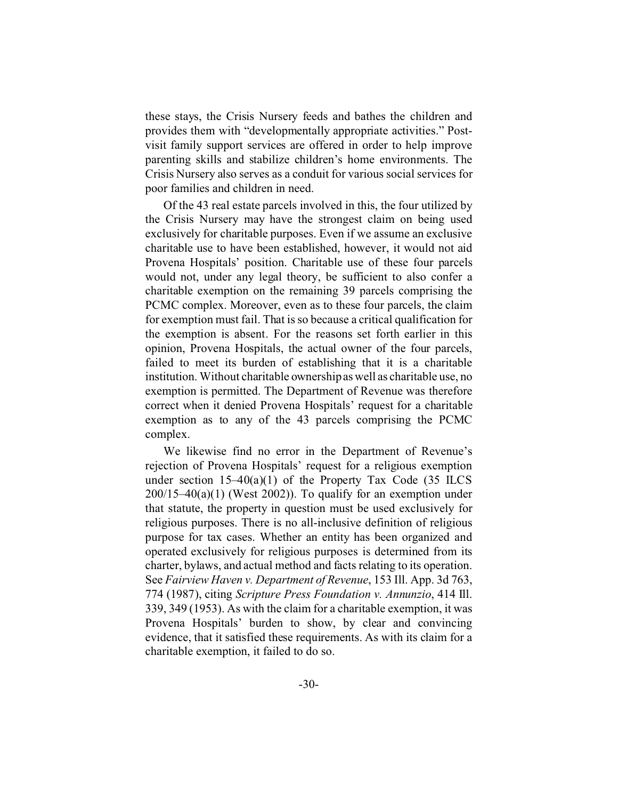these stays, the Crisis Nursery feeds and bathes the children and provides them with "developmentally appropriate activities." Postvisit family support services are offered in order to help improve parenting skills and stabilize children's home environments. The Crisis Nursery also serves as a conduit for various social services for poor families and children in need.

Of the 43 real estate parcels involved in this, the four utilized by the Crisis Nursery may have the strongest claim on being used exclusively for charitable purposes. Even if we assume an exclusive charitable use to have been established, however, it would not aid Provena Hospitals' position. Charitable use of these four parcels would not, under any legal theory, be sufficient to also confer a charitable exemption on the remaining 39 parcels comprising the PCMC complex. Moreover, even as to these four parcels, the claim for exemption must fail. That is so because a critical qualification for the exemption is absent. For the reasons set forth earlier in this opinion, Provena Hospitals, the actual owner of the four parcels, failed to meet its burden of establishing that it is a charitable institution. Without charitable ownership as well as charitable use, no exemption is permitted. The Department of Revenue was therefore correct when it denied Provena Hospitals' request for a charitable exemption as to any of the 43 parcels comprising the PCMC complex.

We likewise find no error in the Department of Revenue's rejection of Provena Hospitals' request for a religious exemption under section  $15-40(a)(1)$  of the Property Tax Code (35 ILCS  $200/15-40(a)(1)$  (West 2002)). To qualify for an exemption under that statute, the property in question must be used exclusively for religious purposes. There is no all-inclusive definition of religious purpose for tax cases. Whether an entity has been organized and operated exclusively for religious purposes is determined from its charter, bylaws, and actual method and facts relating to its operation. See *Fairview Haven v. Department of Revenue*, 153 Ill. App. 3d 763, 774 (1987), citing *Scripture Press Foundation v. Annunzio*, 414 Ill. 339, 349 (1953). As with the claim for a charitable exemption, it was Provena Hospitals' burden to show, by clear and convincing evidence, that it satisfied these requirements. As with its claim for a charitable exemption, it failed to do so.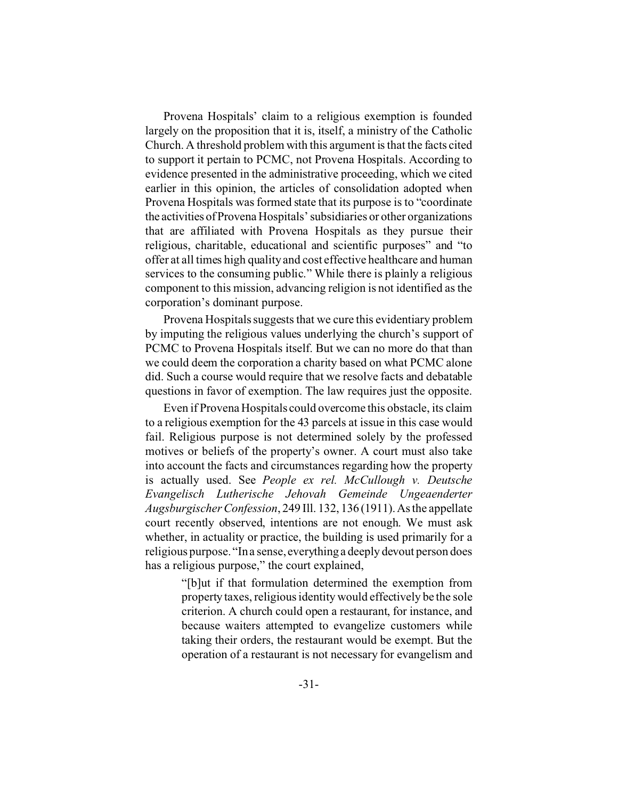Provena Hospitals' claim to a religious exemption is founded largely on the proposition that it is, itself, a ministry of the Catholic Church. A threshold problem with this argument is that the facts cited to support it pertain to PCMC, not Provena Hospitals. According to evidence presented in the administrative proceeding, which we cited earlier in this opinion, the articles of consolidation adopted when Provena Hospitals was formed state that its purpose is to "coordinate the activities ofProvena Hospitals' subsidiaries or other organizations that are affiliated with Provena Hospitals as they pursue their religious, charitable, educational and scientific purposes" and "to offer at all times high quality and cost effective healthcare and human services to the consuming public." While there is plainly a religious component to this mission, advancing religion is not identified as the corporation's dominant purpose.

Provena Hospitals suggests that we cure this evidentiary problem by imputing the religious values underlying the church's support of PCMC to Provena Hospitals itself. But we can no more do that than we could deem the corporation a charity based on what PCMC alone did. Such a course would require that we resolve facts and debatable questions in favor of exemption. The law requires just the opposite.

Even if Provena Hospitals could overcome this obstacle, its claim to a religious exemption for the 43 parcels at issue in this case would fail. Religious purpose is not determined solely by the professed motives or beliefs of the property's owner. A court must also take into account the facts and circumstances regarding how the property is actually used. See *People ex rel. McCullough v. Deutsche Evangelisch Lutherische Jehovah Gemeinde Ungeaenderter Augsburgischer Confession*, 249 Ill. 132, 136 (1911).As the appellate court recently observed, intentions are not enough. We must ask whether, in actuality or practice, the building is used primarily for a religious purpose. "In a sense, everything a deeply devout person does has a religious purpose," the court explained,

> "[b]ut if that formulation determined the exemption from property taxes, religious identity would effectively be the sole criterion. A church could open a restaurant, for instance, and because waiters attempted to evangelize customers while taking their orders, the restaurant would be exempt. But the operation of a restaurant is not necessary for evangelism and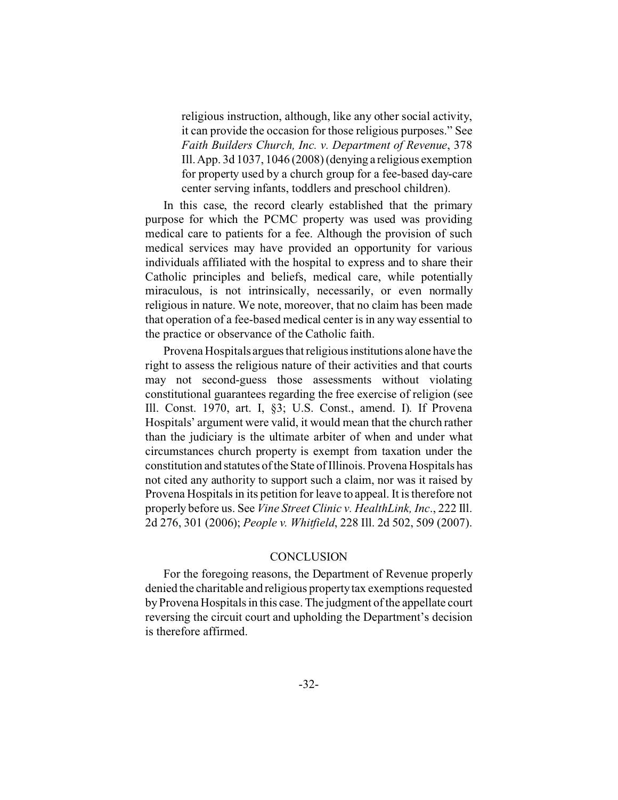religious instruction, although, like any other social activity, it can provide the occasion for those religious purposes." See *Faith Builders Church, Inc. v. Department of Revenue*, 378 Ill. App. 3d 1037, 1046 (2008) (denying a religious exemption for property used by a church group for a fee-based day-care center serving infants, toddlers and preschool children).

In this case, the record clearly established that the primary purpose for which the PCMC property was used was providing medical care to patients for a fee. Although the provision of such medical services may have provided an opportunity for various individuals affiliated with the hospital to express and to share their Catholic principles and beliefs, medical care, while potentially miraculous, is not intrinsically, necessarily, or even normally religious in nature. We note, moreover, that no claim has been made that operation of a fee-based medical center is in any way essential to the practice or observance of the Catholic faith.

Provena Hospitals argues that religious institutions alone have the right to assess the religious nature of their activities and that courts may not second-guess those assessments without violating constitutional guarantees regarding the free exercise of religion (see Ill. Const. 1970, art. I, §3; U.S. Const., amend. I). If Provena Hospitals' argument were valid, it would mean that the church rather than the judiciary is the ultimate arbiter of when and under what circumstances church property is exempt from taxation under the constitution and statutes of the State of Illinois. Provena Hospitals has not cited any authority to support such a claim, nor was it raised by Provena Hospitals in its petition for leave to appeal. It is therefore not properly before us. See *Vine Street Clinic v. HealthLink, Inc*., 222 Ill. 2d 276, 301 (2006); *People v. Whitfield*, 228 Ill. 2d 502, 509 (2007).

## **CONCLUSION**

For the foregoing reasons, the Department of Revenue properly denied the charitable and religious property tax exemptions requested by Provena Hospitals in this case. The judgment of the appellate court reversing the circuit court and upholding the Department's decision is therefore affirmed.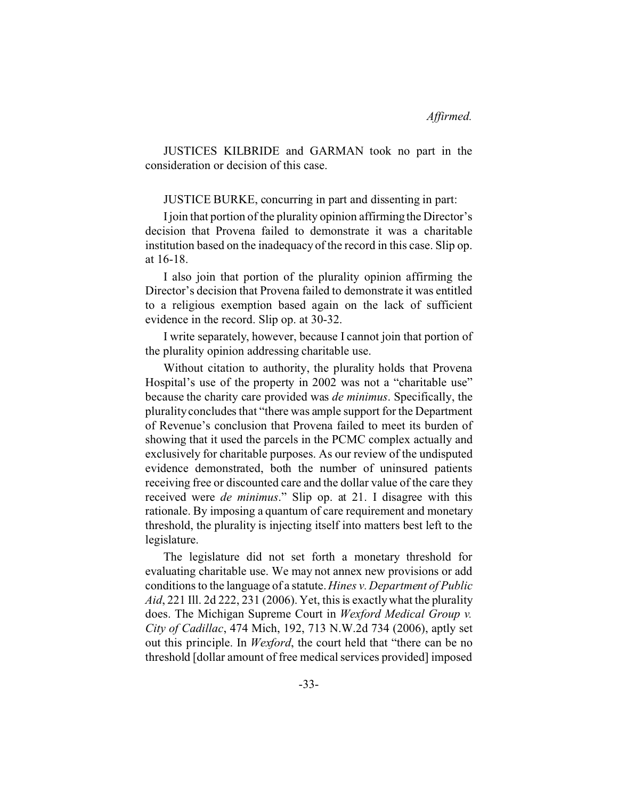JUSTICES KILBRIDE and GARMAN took no part in the consideration or decision of this case.

JUSTICE BURKE, concurring in part and dissenting in part:

I join that portion of the plurality opinion affirming the Director's decision that Provena failed to demonstrate it was a charitable institution based on the inadequacy of the record in this case. Slip op. at 16-18.

I also join that portion of the plurality opinion affirming the Director's decision that Provena failed to demonstrate it was entitled to a religious exemption based again on the lack of sufficient evidence in the record. Slip op. at 30-32.

I write separately, however, because I cannot join that portion of the plurality opinion addressing charitable use.

Without citation to authority, the plurality holds that Provena Hospital's use of the property in 2002 was not a "charitable use" because the charity care provided was *de minimus*. Specifically, the plurality concludes that "there was ample support for the Department of Revenue's conclusion that Provena failed to meet its burden of showing that it used the parcels in the PCMC complex actually and exclusively for charitable purposes. As our review of the undisputed evidence demonstrated, both the number of uninsured patients receiving free or discounted care and the dollar value of the care they received were *de minimus*." Slip op. at 21. I disagree with this rationale. By imposing a quantum of care requirement and monetary threshold, the plurality is injecting itself into matters best left to the legislature.

The legislature did not set forth a monetary threshold for evaluating charitable use. We may not annex new provisions or add conditions to the language of a statute.*Hines v. Department of Public Aid*, 221 Ill. 2d 222, 231 (2006). Yet, this is exactly what the plurality does. The Michigan Supreme Court in *Wexford Medical Group v. City of Cadillac*, 474 Mich, 192, 713 N.W.2d 734 (2006), aptly set out this principle. In *Wexford*, the court held that "there can be no threshold [dollar amount of free medical services provided] imposed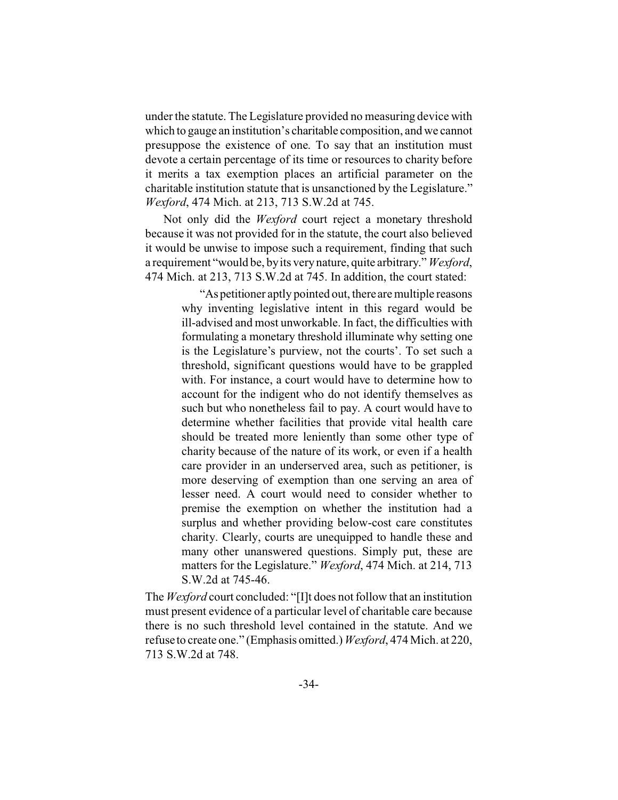under the statute. The Legislature provided no measuring device with which to gauge an institution's charitable composition, and we cannot presuppose the existence of one. To say that an institution must devote a certain percentage of its time or resources to charity before it merits a tax exemption places an artificial parameter on the charitable institution statute that is unsanctioned by the Legislature." *Wexford*, 474 Mich. at 213, 713 S.W.2d at 745.

Not only did the *Wexford* court reject a monetary threshold because it was not provided for in the statute, the court also believed it would be unwise to impose such a requirement, finding that such a requirement "would be, by its very nature, quite arbitrary." *Wexford*, 474 Mich. at 213, 713 S.W.2d at 745. In addition, the court stated:

> "As petitioner aptly pointed out, there are multiple reasons why inventing legislative intent in this regard would be ill-advised and most unworkable. In fact, the difficulties with formulating a monetary threshold illuminate why setting one is the Legislature's purview, not the courts'. To set such a threshold, significant questions would have to be grappled with. For instance, a court would have to determine how to account for the indigent who do not identify themselves as such but who nonetheless fail to pay. A court would have to determine whether facilities that provide vital health care should be treated more leniently than some other type of charity because of the nature of its work, or even if a health care provider in an underserved area, such as petitioner, is more deserving of exemption than one serving an area of lesser need. A court would need to consider whether to premise the exemption on whether the institution had a surplus and whether providing below-cost care constitutes charity. Clearly, courts are unequipped to handle these and many other unanswered questions. Simply put, these are matters for the Legislature." *Wexford*, 474 Mich. at 214, 713 S.W.2d at 745-46.

The *Wexford* court concluded: "[I]t does not follow that an institution must present evidence of a particular level of charitable care because there is no such threshold level contained in the statute. And we refuse to create one." (Emphasis omitted.) *Wexford*, 474 Mich. at 220, 713 S.W.2d at 748.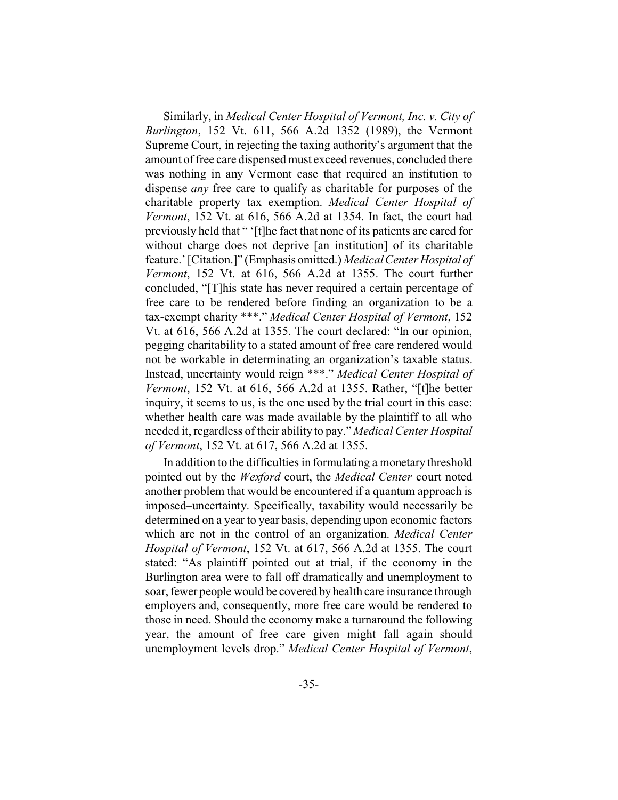Similarly, in *Medical Center Hospital of Vermont, Inc. v. City of Burlington*, 152 Vt. 611, 566 A.2d 1352 (1989), the Vermont Supreme Court, in rejecting the taxing authority's argument that the amount of free care dispensed must exceed revenues, concluded there was nothing in any Vermont case that required an institution to dispense *any* free care to qualify as charitable for purposes of the charitable property tax exemption. *Medical Center Hospital of Vermont*, 152 Vt. at 616, 566 A.2d at 1354. In fact, the court had previously held that " '[t]he fact that none of its patients are cared for without charge does not deprive [an institution] of its charitable feature.' [Citation.]" (Emphasis omitted.) *Medical Center Hospital of Vermont*, 152 Vt. at 616, 566 A.2d at 1355. The court further concluded, "[T]his state has never required a certain percentage of free care to be rendered before finding an organization to be a tax-exempt charity \*\*\*." *Medical Center Hospital of Vermont*, 152 Vt. at 616, 566 A.2d at 1355. The court declared: "In our opinion, pegging charitability to a stated amount of free care rendered would not be workable in determinating an organization's taxable status. Instead, uncertainty would reign \*\*\*." *Medical Center Hospital of Vermont*, 152 Vt. at 616, 566 A.2d at 1355. Rather, "[t]he better inquiry, it seems to us, is the one used by the trial court in this case: whether health care was made available by the plaintiff to all who needed it, regardless of their ability to pay." *Medical Center Hospital of Vermont*, 152 Vt. at 617, 566 A.2d at 1355.

In addition to the difficulties in formulating a monetary threshold pointed out by the *Wexford* court, the *Medical Center* court noted another problem that would be encountered if a quantum approach is imposed–uncertainty. Specifically, taxability would necessarily be determined on a year to year basis, depending upon economic factors which are not in the control of an organization. *Medical Center Hospital of Vermont*, 152 Vt. at 617, 566 A.2d at 1355. The court stated: "As plaintiff pointed out at trial, if the economy in the Burlington area were to fall off dramatically and unemployment to soar, fewer people would be covered by health care insurance through employers and, consequently, more free care would be rendered to those in need. Should the economy make a turnaround the following year, the amount of free care given might fall again should unemployment levels drop." *Medical Center Hospital of Vermont*,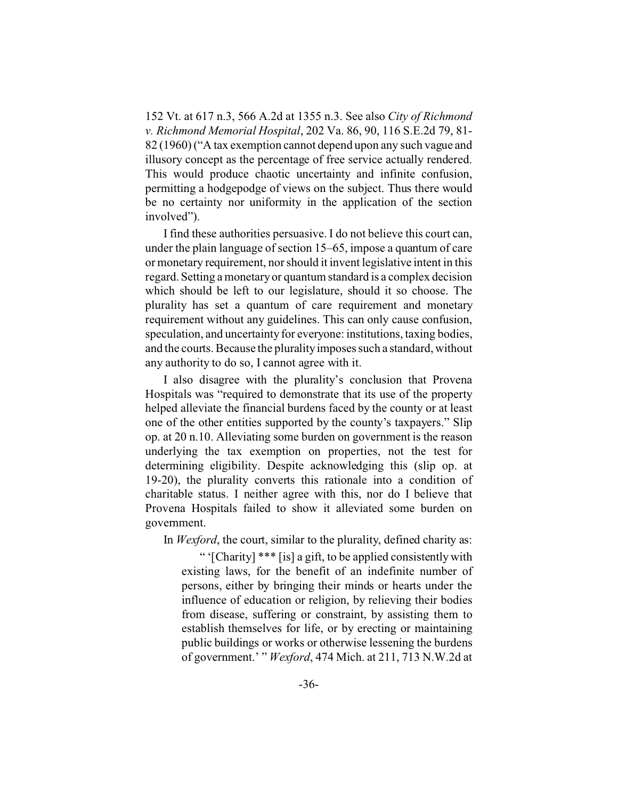152 Vt. at 617 n.3, 566 A.2d at 1355 n.3. See also *City of Richmond v. Richmond Memorial Hospital*, 202 Va. 86, 90, 116 S.E.2d 79, 81- 82 (1960) ("A tax exemption cannot depend upon any such vague and illusory concept as the percentage of free service actually rendered. This would produce chaotic uncertainty and infinite confusion, permitting a hodgepodge of views on the subject. Thus there would be no certainty nor uniformity in the application of the section involved").

I find these authorities persuasive. I do not believe this court can, under the plain language of section 15–65, impose a quantum of care or monetary requirement, nor should it invent legislative intent in this regard. Setting a monetary or quantum standard is a complex decision which should be left to our legislature, should it so choose. The plurality has set a quantum of care requirement and monetary requirement without any guidelines. This can only cause confusion, speculation, and uncertainty for everyone: institutions, taxing bodies, and the courts. Because the plurality imposes such a standard, without any authority to do so, I cannot agree with it.

I also disagree with the plurality's conclusion that Provena Hospitals was "required to demonstrate that its use of the property helped alleviate the financial burdens faced by the county or at least one of the other entities supported by the county's taxpayers." Slip op. at 20 n.10. Alleviating some burden on government is the reason underlying the tax exemption on properties, not the test for determining eligibility. Despite acknowledging this (slip op. at 19-20), the plurality converts this rationale into a condition of charitable status. I neither agree with this, nor do I believe that Provena Hospitals failed to show it alleviated some burden on government.

In *Wexford*, the court, similar to the plurality, defined charity as:

" '[Charity] \*\*\* [is] a gift, to be applied consistently with existing laws, for the benefit of an indefinite number of persons, either by bringing their minds or hearts under the influence of education or religion, by relieving their bodies from disease, suffering or constraint, by assisting them to establish themselves for life, or by erecting or maintaining public buildings or works or otherwise lessening the burdens of government.' " *Wexford*, 474 Mich. at 211, 713 N.W.2d at